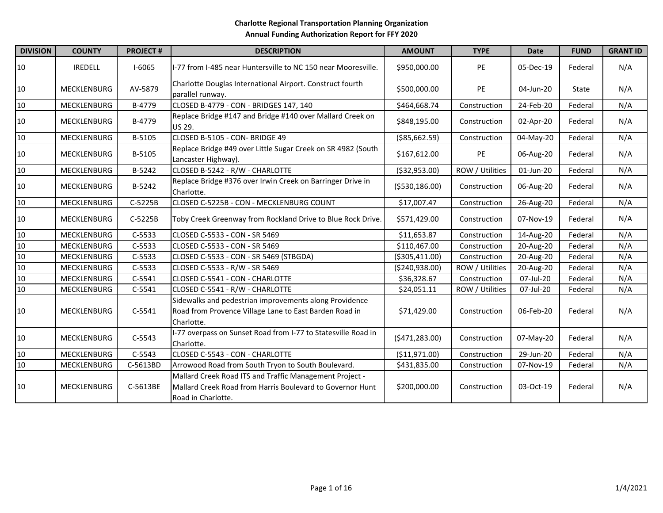| <b>DIVISION</b> | <b>COUNTY</b>      | <b>PROJECT#</b> | <b>DESCRIPTION</b>                                                                                                                         | <b>AMOUNT</b>    | <b>TYPE</b>     | <b>Date</b> | <b>FUND</b> | <b>GRANT ID</b> |
|-----------------|--------------------|-----------------|--------------------------------------------------------------------------------------------------------------------------------------------|------------------|-----------------|-------------|-------------|-----------------|
| 10              | <b>IREDELL</b>     | $I-6065$        | I-77 from I-485 near Huntersville to NC 150 near Mooresville.                                                                              | \$950,000.00     | PE              | 05-Dec-19   | Federal     | N/A             |
| 10              | MECKLENBURG        | AV-5879         | Charlotte Douglas International Airport. Construct fourth<br>parallel runway.                                                              | \$500,000.00     | PE              | 04-Jun-20   | State       | N/A             |
| 10              | MECKLENBURG        | B-4779          | CLOSED B-4779 - CON - BRIDGES 147, 140                                                                                                     | \$464,668.74     | Construction    | 24-Feb-20   | Federal     | N/A             |
| 10              | MECKLENBURG        | B-4779          | Replace Bridge #147 and Bridge #140 over Mallard Creek on<br><b>US 29.</b>                                                                 | \$848,195.00     | Construction    | 02-Apr-20   | Federal     | N/A             |
| 10              | MECKLENBURG        | B-5105          | CLOSED B-5105 - CON- BRIDGE 49                                                                                                             | ( \$85,662.59)   | Construction    | 04-May-20   | Federal     | N/A             |
| 10              | MECKLENBURG        | B-5105          | Replace Bridge #49 over Little Sugar Creek on SR 4982 (South<br>Lancaster Highway).                                                        | \$167,612.00     | PE              | 06-Aug-20   | Federal     | N/A             |
| 10              | MECKLENBURG        | B-5242          | CLOSED B-5242 - R/W - CHARLOTTE                                                                                                            | ( \$32, 953.00)  | ROW / Utilities | 01-Jun-20   | Federal     | N/A             |
| 10              | MECKLENBURG        | B-5242          | Replace Bridge #376 over Irwin Creek on Barringer Drive in<br>Charlotte.                                                                   | ( \$530, 186.00) | Construction    | 06-Aug-20   | Federal     | N/A             |
| 10              | MECKLENBURG        | C-5225B         | CLOSED C-5225B - CON - MECKLENBURG COUNT                                                                                                   | \$17,007.47      | Construction    | 26-Aug-20   | Federal     | N/A             |
| 10              | <b>MECKLENBURG</b> | C-5225B         | Toby Creek Greenway from Rockland Drive to Blue Rock Drive.                                                                                | \$571,429.00     | Construction    | 07-Nov-19   | Federal     | N/A             |
| 10              | <b>MECKLENBURG</b> | $C-5533$        | CLOSED C-5533 - CON - SR 5469                                                                                                              | \$11,653.87      | Construction    | 14-Aug-20   | Federal     | N/A             |
| 10              | <b>MECKLENBURG</b> | $C-5533$        | CLOSED C-5533 - CON - SR 5469                                                                                                              | \$110,467.00     | Construction    | 20-Aug-20   | Federal     | N/A             |
| 10              | MECKLENBURG        | C-5533          | CLOSED C-5533 - CON - SR 5469 (STBGDA)                                                                                                     | ( \$305, 411.00) | Construction    | 20-Aug-20   | Federal     | N/A             |
| 10              | MECKLENBURG        | $C-5533$        | CLOSED C-5533 - R/W - SR 5469                                                                                                              | ( \$240, 938.00) | ROW / Utilities | 20-Aug-20   | Federal     | N/A             |
| 10              | MECKLENBURG        | $C-5541$        | CLOSED C-5541 - CON - CHARLOTTE                                                                                                            | \$36,328.67      | Construction    | 07-Jul-20   | Federal     | N/A             |
| 10              | MECKLENBURG        | $C-5541$        | CLOSED C-5541 - R/W - CHARLOTTE                                                                                                            | \$24,051.11      | ROW / Utilities | 07-Jul-20   | Federal     | N/A             |
| 10              | <b>MECKLENBURG</b> | $C-5541$        | Sidewalks and pedestrian improvements along Providence<br>Road from Provence Village Lane to East Barden Road in<br>Charlotte.             | \$71,429.00      | Construction    | 06-Feb-20   | Federal     | N/A             |
| 10              | MECKLENBURG        | $C-5543$        | I-77 overpass on Sunset Road from I-77 to Statesville Road in<br>Charlotte.                                                                | (5471, 283.00)   | Construction    | 07-May-20   | Federal     | N/A             |
| 10              | MECKLENBURG        | $C-5543$        | CLOSED C-5543 - CON - CHARLOTTE                                                                                                            | (\$11,971.00)    | Construction    | 29-Jun-20   | Federal     | N/A             |
| 10              | MECKLENBURG        | C-5613BD        | Arrowood Road from South Tryon to South Boulevard.                                                                                         | \$431,835.00     | Construction    | 07-Nov-19   | Federal     | N/A             |
| 10              | MECKLENBURG        | C-5613BE        | Mallard Creek Road ITS and Traffic Management Project -<br>Mallard Creek Road from Harris Boulevard to Governor Hunt<br>Road in Charlotte. | \$200,000.00     | Construction    | 03-Oct-19   | Federal     | N/A             |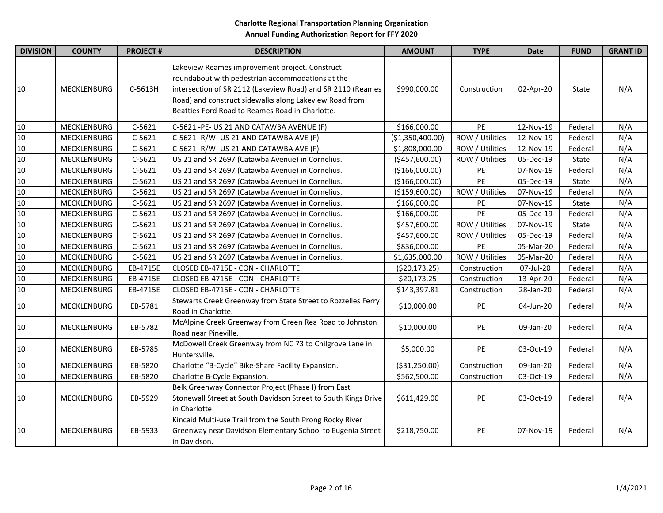| <b>DIVISION</b> | <b>COUNTY</b> | <b>PROJECT#</b> | <b>DESCRIPTION</b>                                                                                                                                                                                                                                                             | <b>AMOUNT</b>    | <b>TYPE</b>     | <b>Date</b> | <b>FUND</b> | <b>GRANT ID</b> |
|-----------------|---------------|-----------------|--------------------------------------------------------------------------------------------------------------------------------------------------------------------------------------------------------------------------------------------------------------------------------|------------------|-----------------|-------------|-------------|-----------------|
| 10              | MECKLENBURG   | C-5613H         | Lakeview Reames improvement project. Construct<br>roundabout with pedestrian accommodations at the<br>intersection of SR 2112 (Lakeview Road) and SR 2110 (Reames<br>Road) and construct sidewalks along Lakeview Road from<br>Beatties Ford Road to Reames Road in Charlotte. | \$990,000.00     | Construction    | 02-Apr-20   | State       | N/A             |
| 10              | MECKLENBURG   | $C-5621$        | C-5621 -PE- US 21 AND CATAWBA AVENUE (F)                                                                                                                                                                                                                                       | \$166,000.00     | PE              | 12-Nov-19   | Federal     | N/A             |
| 10              | MECKLENBURG   | $C-5621$        | C-5621 -R/W- US 21 AND CATAWBA AVE (F)                                                                                                                                                                                                                                         | (\$1,350,400.00) | ROW / Utilities | 12-Nov-19   | Federal     | N/A             |
| 10              | MECKLENBURG   | $C-5621$        | C-5621 -R/W- US 21 AND CATAWBA AVE (F)                                                                                                                                                                                                                                         | \$1,808,000.00   | ROW / Utilities | 12-Nov-19   | Federal     | N/A             |
| 10              | MECKLENBURG   | $C-5621$        | US 21 and SR 2697 (Catawba Avenue) in Cornelius.                                                                                                                                                                                                                               | (\$457,600.00)   | ROW / Utilities | 05-Dec-19   | State       | N/A             |
| $10\,$          | MECKLENBURG   | $C-5621$        | US 21 and SR 2697 (Catawba Avenue) in Cornelius.                                                                                                                                                                                                                               | (\$166,000.00)   | PE              | 07-Nov-19   | Federal     | N/A             |
| 10              | MECKLENBURG   | $C-5621$        | US 21 and SR 2697 (Catawba Avenue) in Cornelius.                                                                                                                                                                                                                               | (\$166,000.00)   | PE              | 05-Dec-19   | State       | N/A             |
| 10              | MECKLENBURG   | $C-5621$        | US 21 and SR 2697 (Catawba Avenue) in Cornelius.                                                                                                                                                                                                                               | ( \$159,600.00)  | ROW / Utilities | 07-Nov-19   | Federal     | N/A             |
| 10              | MECKLENBURG   | $C-5621$        | US 21 and SR 2697 (Catawba Avenue) in Cornelius.                                                                                                                                                                                                                               | \$166,000.00     | PE              | 07-Nov-19   | State       | N/A             |
| 10              | MECKLENBURG   | $C-5621$        | US 21 and SR 2697 (Catawba Avenue) in Cornelius.                                                                                                                                                                                                                               | \$166,000.00     | PE              | 05-Dec-19   | Federal     | N/A             |
| 10              | MECKLENBURG   | $C-5621$        | US 21 and SR 2697 (Catawba Avenue) in Cornelius.                                                                                                                                                                                                                               | \$457,600.00     | ROW / Utilities | 07-Nov-19   | State       | N/A             |
| 10              | MECKLENBURG   | $C-5621$        | US 21 and SR 2697 (Catawba Avenue) in Cornelius.                                                                                                                                                                                                                               | \$457,600.00     | ROW / Utilities | 05-Dec-19   | Federal     | N/A             |
| 10              | MECKLENBURG   | $C-5621$        | US 21 and SR 2697 (Catawba Avenue) in Cornelius.                                                                                                                                                                                                                               | \$836,000.00     | PE              | 05-Mar-20   | Federal     | N/A             |
| $10\,$          | MECKLENBURG   | $C-5621$        | US 21 and SR 2697 (Catawba Avenue) in Cornelius.                                                                                                                                                                                                                               | \$1,635,000.00   | ROW / Utilities | 05-Mar-20   | Federal     | N/A             |
| 10              | MECKLENBURG   | EB-4715E        | CLOSED EB-4715E - CON - CHARLOTTE                                                                                                                                                                                                                                              | ( \$20, 173.25)  | Construction    | 07-Jul-20   | Federal     | N/A             |
| 10              | MECKLENBURG   | EB-4715E        | CLOSED EB-4715E - CON - CHARLOTTE                                                                                                                                                                                                                                              | \$20,173.25      | Construction    | 13-Apr-20   | Federal     | N/A             |
| $10$            | MECKLENBURG   | EB-4715E        | CLOSED EB-4715E - CON - CHARLOTTE                                                                                                                                                                                                                                              | \$143,397.81     | Construction    | 28-Jan-20   | Federal     | N/A             |
| 10              | MECKLENBURG   | EB-5781         | Stewarts Creek Greenway from State Street to Rozzelles Ferry<br>Road in Charlotte.                                                                                                                                                                                             | \$10,000.00      | PE              | 04-Jun-20   | Federal     | N/A             |
| 10              | MECKLENBURG   | EB-5782         | McAlpine Creek Greenway from Green Rea Road to Johnston<br>Road near Pineville.                                                                                                                                                                                                | \$10,000.00      | PE              | 09-Jan-20   | Federal     | N/A             |
| 10              | MECKLENBURG   | EB-5785         | McDowell Creek Greenway from NC 73 to Chilgrove Lane in<br>Huntersville.                                                                                                                                                                                                       | \$5,000.00       | PE              | 03-Oct-19   | Federal     | N/A             |
| 10              | MECKLENBURG   | EB-5820         | Charlotte "B-Cycle" Bike-Share Facility Expansion.                                                                                                                                                                                                                             | ( \$31,250.00)   | Construction    | 09-Jan-20   | Federal     | N/A             |
| 10              | MECKLENBURG   | EB-5820         | Charlotte B-Cycle Expansion.                                                                                                                                                                                                                                                   | \$562,500.00     | Construction    | 03-Oct-19   | Federal     | N/A             |
| 10              | MECKLENBURG   | EB-5929         | Belk Greenway Connector Project (Phase I) from East<br>Stonewall Street at South Davidson Street to South Kings Drive<br>in Charlotte.                                                                                                                                         | \$611,429.00     | PE              | 03-Oct-19   | Federal     | N/A             |
| 10              | MECKLENBURG   | EB-5933         | Kincaid Multi-use Trail from the South Prong Rocky River<br>Greenway near Davidson Elementary School to Eugenia Street<br>in Davidson.                                                                                                                                         | \$218,750.00     | PE              | 07-Nov-19   | Federal     | N/A             |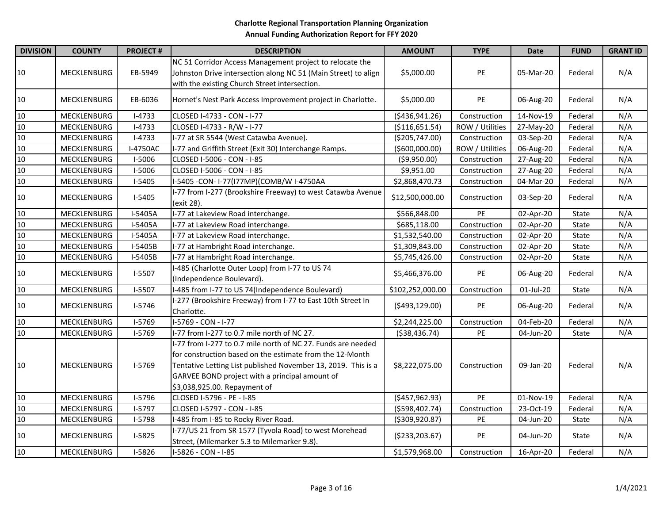| <b>DIVISION</b> | <b>COUNTY</b>      | <b>PROJECT#</b> | <b>DESCRIPTION</b>                                                                                                                                                                                                                                                          | <b>AMOUNT</b>    | <b>TYPE</b>     | <b>Date</b> | <b>FUND</b> | <b>GRANT ID</b> |
|-----------------|--------------------|-----------------|-----------------------------------------------------------------------------------------------------------------------------------------------------------------------------------------------------------------------------------------------------------------------------|------------------|-----------------|-------------|-------------|-----------------|
| 10              | MECKLENBURG        | EB-5949         | NC 51 Corridor Access Management project to relocate the<br>Johnston Drive intersection along NC 51 (Main Street) to align<br>with the existing Church Street intersection.                                                                                                 | \$5,000.00       | PE              | 05-Mar-20   | Federal     | N/A             |
| 10              | <b>MECKLENBURG</b> | EB-6036         | Hornet's Nest Park Access Improvement project in Charlotte.                                                                                                                                                                                                                 | \$5,000.00       | PE              | 06-Aug-20   | Federal     | N/A             |
| 10              | MECKLENBURG        | $I-4733$        | CLOSED I-4733 - CON - I-77                                                                                                                                                                                                                                                  | ( \$436, 941.26) | Construction    | 14-Nov-19   | Federal     | N/A             |
| 10              | MECKLENBURG        | $I-4733$        | CLOSED I-4733 - R/W - I-77                                                                                                                                                                                                                                                  | ( \$116, 651.54) | ROW / Utilities | 27-May-20   | Federal     | N/A             |
| 10              | MECKLENBURG        | $I-4733$        | I-77 at SR 5544 (West Catawba Avenue).                                                                                                                                                                                                                                      | ( \$205, 747.00) | Construction    | 03-Sep-20   | Federal     | N/A             |
| 10              | MECKLENBURG        | I-4750AC        | I-77 and Griffith Street (Exit 30) Interchange Ramps.                                                                                                                                                                                                                       | ( \$600,000.00)  | ROW / Utilities | 06-Aug-20   | Federal     | N/A             |
| 10              | MECKLENBURG        | I-5006          | CLOSED I-5006 - CON - I-85                                                                                                                                                                                                                                                  | ( \$9,950.00)    | Construction    | 27-Aug-20   | Federal     | N/A             |
| 10              | MECKLENBURG        | I-5006          | CLOSED I-5006 - CON - I-85                                                                                                                                                                                                                                                  | \$9,951.00       | Construction    | 27-Aug-20   | Federal     | N/A             |
| 10              | MECKLENBURG        | $I-5405$        | I-5405 - CON- I-77(I77MP)(COMB/W I-4750AA                                                                                                                                                                                                                                   | \$2,868,470.73   | Construction    | 04-Mar-20   | Federal     | N/A             |
| 10              | MECKLENBURG        | $I-5405$        | I-77 from I-277 (Brookshire Freeway) to west Catawba Avenue<br>(exit 28).                                                                                                                                                                                                   | \$12,500,000.00  | Construction    | 03-Sep-20   | Federal     | N/A             |
| 10              | <b>MECKLENBURG</b> | I-5405A         | I-77 at Lakeview Road interchange.                                                                                                                                                                                                                                          | \$566,848.00     | PE              | 02-Apr-20   | State       | N/A             |
| 10              | MECKLENBURG        | I-5405A         | I-77 at Lakeview Road interchange.                                                                                                                                                                                                                                          | \$685,118.00     | Construction    | 02-Apr-20   | State       | N/A             |
| 10              | MECKLENBURG        | I-5405A         | I-77 at Lakeview Road interchange.                                                                                                                                                                                                                                          | \$1,532,540.00   | Construction    | 02-Apr-20   | State       | N/A             |
| 10              | MECKLENBURG        | I-5405B         | I-77 at Hambright Road interchange.                                                                                                                                                                                                                                         | \$1,309,843.00   | Construction    | 02-Apr-20   | State       | N/A             |
| 10              | MECKLENBURG        | I-5405B         | I-77 at Hambright Road interchange.                                                                                                                                                                                                                                         | \$5,745,426.00   | Construction    | 02-Apr-20   | State       | N/A             |
| 10              | MECKLENBURG        | $I-5507$        | -485 (Charlotte Outer Loop) from I-77 to US 74<br>(Independence Boulevard).                                                                                                                                                                                                 | \$5,466,376.00   | PE              | 06-Aug-20   | Federal     | N/A             |
| 10              | MECKLENBURG        | I-5507          | I-485 from I-77 to US 74(Independence Boulevard)                                                                                                                                                                                                                            | \$102,252,000.00 | Construction    | 01-Jul-20   | State       | N/A             |
| 10              | MECKLENBURG        | $I-5746$        | I-277 (Brookshire Freeway) from I-77 to East 10th Street In<br>Charlotte.                                                                                                                                                                                                   | (5493, 129.00)   | PE              | 06-Aug-20   | Federal     | N/A             |
| 10              | MECKLENBURG        | $I-5769$        | I-5769 - CON - I-77                                                                                                                                                                                                                                                         | \$2,244,225.00   | Construction    | 04-Feb-20   | Federal     | N/A             |
| $10\,$          | MECKLENBURG        | I-5769          | I-77 from I-277 to 0.7 mile north of NC 27.                                                                                                                                                                                                                                 | ( \$38,436.74)   | PE              | 04-Jun-20   | State       | N/A             |
| 10              | MECKLENBURG        | $I-5769$        | I-77 from I-277 to 0.7 mile north of NC 27. Funds are needed<br>for construction based on the estimate from the 12-Month<br>Tentative Letting List published November 13, 2019. This is a<br>GARVEE BOND project with a principal amount of<br>\$3,038,925.00. Repayment of | \$8,222,075.00   | Construction    | 09-Jan-20   | Federal     | N/A             |
| 10              | MECKLENBURG        | I-5796          | CLOSED I-5796 - PE - I-85                                                                                                                                                                                                                                                   | ( \$457, 962.93) | $\overline{PE}$ | 01-Nov-19   | Federal     | N/A             |
| 10              | MECKLENBURG        | $I-5797$        | CLOSED I-5797 - CON - I-85                                                                                                                                                                                                                                                  | ( \$598,402.74)  | Construction    | 23-Oct-19   | Federal     | N/A             |
| 10              | MECKLENBURG        | I-5798          | -485 from I-85 to Rocky River Road.                                                                                                                                                                                                                                         | ( \$309, 920.87) | PE              | 04-Jun-20   | State       | N/A             |
| 10              | MECKLENBURG        | $I-5825$        | I-77/US 21 from SR 1577 (Tyvola Road) to west Morehead<br>Street, (Milemarker 5.3 to Milemarker 9.8).                                                                                                                                                                       | ( \$233, 203.67) | PE              | 04-Jun-20   | State       | N/A             |
| 10              | MECKLENBURG        | $I-5826$        | I-5826 - CON - I-85                                                                                                                                                                                                                                                         | \$1,579,968.00   | Construction    | 16-Apr-20   | Federal     | N/A             |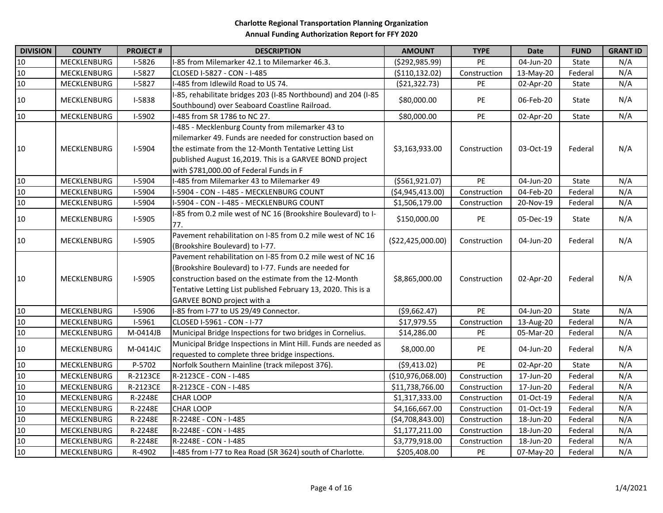| <b>DIVISION</b> | <b>COUNTY</b>      | <b>PROJECT#</b> | <b>DESCRIPTION</b>                                             | <b>AMOUNT</b>     | <b>TYPE</b>     | <b>Date</b> | <b>FUND</b> | <b>GRANT ID</b> |
|-----------------|--------------------|-----------------|----------------------------------------------------------------|-------------------|-----------------|-------------|-------------|-----------------|
| 10              | MECKLENBURG        | I-5826          | -85 from Milemarker 42.1 to Milemarker 46.3.                   | (\$292,985.99)    | PE              | 04-Jun-20   | State       | N/A             |
| 10              | MECKLENBURG        | $I-5827$        | CLOSED I-5827 - CON - I-485                                    | ( \$110, 132.02)  | Construction    | 13-May-20   | Federal     | N/A             |
| 10              | MECKLENBURG        | $I-5827$        | -485 from Idlewild Road to US 74.                              | ( \$21, 322.73)   | PE              | 02-Apr-20   | State       | N/A             |
|                 |                    |                 | -85, rehabilitate bridges 203 (I-85 Northbound) and 204 (I-85  |                   |                 |             |             |                 |
| 10              | MECKLENBURG        | I-5838          | Southbound) over Seaboard Coastline Railroad.                  | \$80,000.00       | <b>PE</b>       | 06-Feb-20   | State       | N/A             |
| 10              | MECKLENBURG        | I-5902          | I-485 from SR 1786 to NC 27.                                   | \$80,000.00       | PE              | 02-Apr-20   | State       | N/A             |
|                 |                    |                 | -485 - Mecklenburg County from milemarker 43 to                |                   |                 |             |             |                 |
|                 |                    |                 | milemarker 49. Funds are needed for construction based on      |                   |                 |             |             |                 |
| 10              | MECKLENBURG        | I-5904          | the estimate from the 12-Month Tentative Letting List          | \$3,163,933.00    | Construction    | 03-Oct-19   | Federal     | N/A             |
|                 |                    |                 | published August 16,2019. This is a GARVEE BOND project        |                   |                 |             |             |                 |
|                 |                    |                 | with \$781,000.00 of Federal Funds in F                        |                   |                 |             |             |                 |
| 10              | <b>MECKLENBURG</b> | I-5904          | I-485 from Milemarker 43 to Milemarker 49                      | ( \$561, 921.07)  | PE              | 04-Jun-20   | State       | N/A             |
| 10              | MECKLENBURG        | I-5904          | I-5904 - CON - I-485 - MECKLENBURG COUNT                       | ( \$4,945,413.00) | Construction    | 04-Feb-20   | Federal     | N/A             |
| $10\,$          | MECKLENBURG        | I-5904          | I-5904 - CON - I-485 - MECKLENBURG COUNT                       | \$1,506,179.00    | Construction    | 20-Nov-19   | Federal     | N/A             |
|                 |                    |                 | -85 from 0.2 mile west of NC 16 (Brookshire Boulevard) to I-   |                   |                 |             |             |                 |
| 10              | MECKLENBURG        | $I-5905$        | 77.                                                            | \$150,000.00      | PE              | 05-Dec-19   | State       | N/A             |
|                 |                    |                 | Pavement rehabilitation on I-85 from 0.2 mile west of NC 16    |                   |                 |             |             |                 |
| 10              | <b>MECKLENBURG</b> | $I-5905$        | (Brookshire Boulevard) to I-77.                                | (\$22,425,000.00) | Construction    | 04-Jun-20   | Federal     | N/A             |
|                 |                    |                 | Pavement rehabilitation on I-85 from 0.2 mile west of NC 16    |                   |                 |             |             |                 |
|                 |                    |                 | (Brookshire Boulevard) to I-77. Funds are needed for           |                   |                 |             |             |                 |
| 10              | <b>MECKLENBURG</b> | $I-5905$        | construction based on the estimate from the 12-Month           | \$8,865,000.00    | Construction    | 02-Apr-20   | Federal     | N/A             |
|                 |                    |                 | Tentative Letting List published February 13, 2020. This is a  |                   |                 |             |             |                 |
|                 |                    |                 | GARVEE BOND project with a                                     |                   |                 |             |             |                 |
| 10              | <b>MECKLENBURG</b> | I-5906          | -85 from I-77 to US 29/49 Connector.                           | ( \$9,662.47)     | PE              | 04-Jun-20   | State       | N/A             |
| 10              | MECKLENBURG        | I-5961          | CLOSED I-5961 - CON - I-77                                     | \$17,979.55       | Construction    | 13-Aug-20   | Federal     | N/A             |
| 10              | MECKLENBURG        | M-0414JB        | Municipal Bridge Inspections for two bridges in Cornelius.     | \$14,286.00       | PE              | 05-Mar-20   | Federal     | N/A             |
| 10              | <b>MECKLENBURG</b> | M-0414JC        | Municipal Bridge Inspections in Mint Hill. Funds are needed as | \$8,000.00        | <b>PE</b>       | 04-Jun-20   | Federal     | N/A             |
|                 |                    |                 | requested to complete three bridge inspections.                |                   |                 |             |             |                 |
| 10              | MECKLENBURG        | P-5702          | Norfolk Southern Mainline (track milepost 376).                | (59, 413.02)      | $\overline{PE}$ | 02-Apr-20   | State       | N/A             |
| 10              | MECKLENBURG        | R-2123CE        | R-2123CE - CON - I-485                                         | (\$10,976,068.00) | Construction    | 17-Jun-20   | Federal     | N/A             |
| 10              | MECKLENBURG        | R-2123CE        | R-2123CE - CON - I-485                                         | \$11,738,766.00   | Construction    | 17-Jun-20   | Federal     | N/A             |
| 10              | MECKLENBURG        | R-2248E         | <b>CHAR LOOP</b>                                               | \$1,317,333.00    | Construction    | 01-Oct-19   | Federal     | N/A             |
| $10\,$          | MECKLENBURG        | R-2248E         | <b>CHAR LOOP</b>                                               | \$4,166,667.00    | Construction    | 01-Oct-19   | Federal     | N/A             |
| 10              | MECKLENBURG        | R-2248E         | R-2248E - CON - I-485                                          | (54,708,843.00)   | Construction    | 18-Jun-20   | Federal     | N/A             |
| 10              | MECKLENBURG        | R-2248E         | R-2248E - CON - I-485                                          | \$1,177,211.00    | Construction    | 18-Jun-20   | Federal     | N/A             |
| 10              | MECKLENBURG        | R-2248E         | R-2248E - CON - I-485                                          | \$3,779,918.00    | Construction    | 18-Jun-20   | Federal     | N/A             |
| 10              | MECKLENBURG        | R-4902          | I-485 from I-77 to Rea Road (SR 3624) south of Charlotte.      | \$205,408.00      | PE              | 07-May-20   | Federal     | N/A             |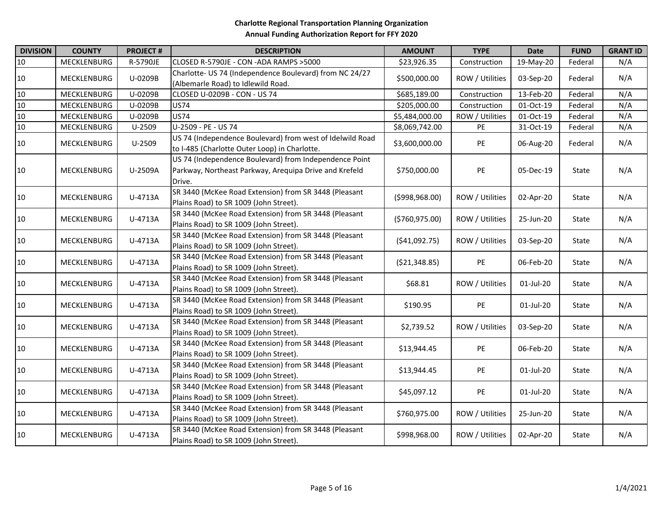| <b>DIVISION</b> | <b>COUNTY</b>      | <b>PROJECT#</b> | <b>DESCRIPTION</b>                                                                                                         | <b>AMOUNT</b>    | <b>TYPE</b>     | <b>Date</b> | <b>FUND</b> | <b>GRANT ID</b> |
|-----------------|--------------------|-----------------|----------------------------------------------------------------------------------------------------------------------------|------------------|-----------------|-------------|-------------|-----------------|
| 10              | MECKLENBURG        | R-5790JE        | CLOSED R-5790JE - CON -ADA RAMPS >5000                                                                                     | \$23,926.35      | Construction    | 19-May-20   | Federal     | N/A             |
| $10\,$          | <b>MECKLENBURG</b> | U-0209B         | Charlotte- US 74 (Independence Boulevard) from NC 24/27<br>(Albemarle Road) to Idlewild Road.                              | \$500,000.00     | ROW / Utilities | 03-Sep-20   | Federal     | N/A             |
| $10\,$          | MECKLENBURG        | U-0209B         | CLOSED U-0209B - CON - US 74                                                                                               | \$685,189.00     | Construction    | 13-Feb-20   | Federal     | N/A             |
| $10\,$          | MECKLENBURG        | U-0209B         | US74                                                                                                                       | \$205,000.00     | Construction    | 01-Oct-19   | Federal     | N/A             |
| $10\,$          | MECKLENBURG        | U-0209B         | <b>US74</b>                                                                                                                | \$5,484,000.00   | ROW / Utilities | 01-Oct-19   | Federal     | N/A             |
| $10\,$          | MECKLENBURG        | U-2509          | U-2509 - PE - US 74                                                                                                        | \$8,069,742.00   | PE              | 31-Oct-19   | Federal     | N/A             |
| 10              | MECKLENBURG        | $U-2509$        | US 74 (Independence Boulevard) from west of Idelwild Road<br>to I-485 (Charlotte Outer Loop) in Charlotte.                 | \$3,600,000.00   | PE              | 06-Aug-20   | Federal     | N/A             |
| 10              | MECKLENBURG        | U-2509A         | US 74 (Independence Boulevard) from Independence Point<br>Parkway, Northeast Parkway, Arequipa Drive and Krefeld<br>Drive. | \$750,000.00     | PE              | 05-Dec-19   | State       | N/A             |
| 10              | <b>MECKLENBURG</b> | U-4713A         | SR 3440 (McKee Road Extension) from SR 3448 (Pleasant<br>Plains Road) to SR 1009 (John Street).                            | (5998,968.00)    | ROW / Utilities | 02-Apr-20   | State       | N/A             |
| 10              | <b>MECKLENBURG</b> | U-4713A         | SR 3440 (McKee Road Extension) from SR 3448 (Pleasant<br>Plains Road) to SR 1009 (John Street).                            | ( \$760, 975.00) | ROW / Utilities | 25-Jun-20   | State       | N/A             |
| 10              | <b>MECKLENBURG</b> | U-4713A         | SR 3440 (McKee Road Extension) from SR 3448 (Pleasant<br>Plains Road) to SR 1009 (John Street).                            | (541,092.75)     | ROW / Utilities | 03-Sep-20   | State       | N/A             |
| 10              | <b>MECKLENBURG</b> | U-4713A         | SR 3440 (McKee Road Extension) from SR 3448 (Pleasant<br>Plains Road) to SR 1009 (John Street).                            | ( \$21,348.85)   | PE              | 06-Feb-20   | State       | N/A             |
| 10              | MECKLENBURG        | U-4713A         | SR 3440 (McKee Road Extension) from SR 3448 (Pleasant<br>Plains Road) to SR 1009 (John Street).                            | \$68.81          | ROW / Utilities | 01-Jul-20   | State       | N/A             |
| 10              | <b>MECKLENBURG</b> | U-4713A         | SR 3440 (McKee Road Extension) from SR 3448 (Pleasant<br>Plains Road) to SR 1009 (John Street).                            | \$190.95         | PE              | 01-Jul-20   | State       | N/A             |
| 10              | MECKLENBURG        | U-4713A         | SR 3440 (McKee Road Extension) from SR 3448 (Pleasant<br>Plains Road) to SR 1009 (John Street).                            | \$2,739.52       | ROW / Utilities | 03-Sep-20   | State       | N/A             |
| 10              | MECKLENBURG        | U-4713A         | SR 3440 (McKee Road Extension) from SR 3448 (Pleasant<br>Plains Road) to SR 1009 (John Street).                            | \$13,944.45      | PE              | 06-Feb-20   | State       | N/A             |
| 10              | <b>MECKLENBURG</b> | U-4713A         | SR 3440 (McKee Road Extension) from SR 3448 (Pleasant<br>Plains Road) to SR 1009 (John Street).                            | \$13,944.45      | PE              | 01-Jul-20   | State       | N/A             |
| 10              | MECKLENBURG        | U-4713A         | SR 3440 (McKee Road Extension) from SR 3448 (Pleasant<br>Plains Road) to SR 1009 (John Street).                            | \$45,097.12      | PE              | 01-Jul-20   | State       | N/A             |
| 10              | MECKLENBURG        | U-4713A         | SR 3440 (McKee Road Extension) from SR 3448 (Pleasant<br>Plains Road) to SR 1009 (John Street).                            | \$760,975.00     | ROW / Utilities | 25-Jun-20   | State       | N/A             |
| 10              | MECKLENBURG        | U-4713A         | SR 3440 (McKee Road Extension) from SR 3448 (Pleasant<br>Plains Road) to SR 1009 (John Street).                            | \$998,968.00     | ROW / Utilities | 02-Apr-20   | State       | N/A             |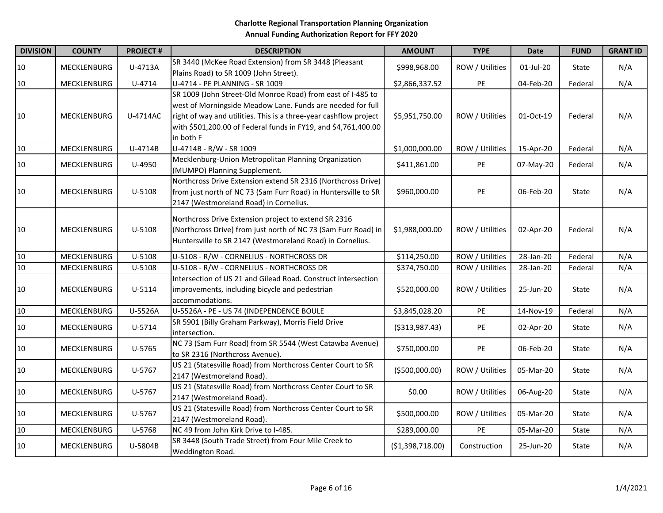| <b>DIVISION</b> | <b>COUNTY</b>      | <b>PROJECT#</b> | <b>DESCRIPTION</b>                                                                                                                                                                                                                                                            | <b>AMOUNT</b>    | <b>TYPE</b>     | <b>Date</b> | <b>FUND</b> | <b>GRANT ID</b> |
|-----------------|--------------------|-----------------|-------------------------------------------------------------------------------------------------------------------------------------------------------------------------------------------------------------------------------------------------------------------------------|------------------|-----------------|-------------|-------------|-----------------|
| 10              | MECKLENBURG        | U-4713A         | SR 3440 (McKee Road Extension) from SR 3448 (Pleasant<br>Plains Road) to SR 1009 (John Street).                                                                                                                                                                               | \$998,968.00     | ROW / Utilities | 01-Jul-20   | State       | N/A             |
| 10              | MECKLENBURG        | U-4714          | U-4714 - PE PLANNING - SR 1009                                                                                                                                                                                                                                                | \$2,866,337.52   | PE              | 04-Feb-20   | Federal     | N/A             |
| 10              | MECKLENBURG        | U-4714AC        | SR 1009 (John Street-Old Monroe Road) from east of I-485 to<br>west of Morningside Meadow Lane. Funds are needed for full<br>right of way and utilities. This is a three-year cashflow project<br>with \$501,200.00 of Federal funds in FY19, and \$4,761,400.00<br>in both F | \$5,951,750.00   | ROW / Utilities | 01-Oct-19   | Federal     | N/A             |
| 10              | MECKLENBURG        | U-4714B         | U-4714B - R/W - SR 1009                                                                                                                                                                                                                                                       | \$1,000,000.00   | ROW / Utilities | 15-Apr-20   | Federal     | N/A             |
| 10              | MECKLENBURG        | U-4950          | Mecklenburg-Union Metropolitan Planning Organization<br>(MUMPO) Planning Supplement.                                                                                                                                                                                          | \$411,861.00     | PE              | 07-May-20   | Federal     | N/A             |
| 10              | MECKLENBURG        | U-5108          | Northcross Drive Extension extend SR 2316 (Northcross Drive)<br>from just north of NC 73 (Sam Furr Road) in Huntersville to SR<br>2147 (Westmoreland Road) in Cornelius.                                                                                                      | \$960,000.00     | PE              | 06-Feb-20   | State       | N/A             |
| 10              | MECKLENBURG        | U-5108          | Northcross Drive Extension project to extend SR 2316<br>(Northcross Drive) from just north of NC 73 (Sam Furr Road) in<br>Huntersville to SR 2147 (Westmoreland Road) in Cornelius.                                                                                           | \$1,988,000.00   | ROW / Utilities | 02-Apr-20   | Federal     | N/A             |
| 10              | MECKLENBURG        | U-5108          | U-5108 - R/W - CORNELIUS - NORTHCROSS DR                                                                                                                                                                                                                                      | \$114,250.00     | ROW / Utilities | 28-Jan-20   | Federal     | N/A             |
| 10              | MECKLENBURG        | U-5108          | U-5108 - R/W - CORNELIUS - NORTHCROSS DR                                                                                                                                                                                                                                      | \$374,750.00     | ROW / Utilities | 28-Jan-20   | Federal     | N/A             |
| 10              | MECKLENBURG        | U-5114          | Intersection of US 21 and Gilead Road. Construct intersection<br>improvements, including bicycle and pedestrian<br>accommodations.                                                                                                                                            | \$520,000.00     | ROW / Utilities | 25-Jun-20   | State       | N/A             |
| 10              | MECKLENBURG        | U-5526A         | U-5526A - PE - US 74 (INDEPENDENCE BOULE                                                                                                                                                                                                                                      | \$3,845,028.20   | PE              | 14-Nov-19   | Federal     | N/A             |
| 10              | MECKLENBURG        | U-5714          | SR 5901 (Billy Graham Parkway), Morris Field Drive<br>intersection.                                                                                                                                                                                                           | ( \$313, 987.43) | PE              | 02-Apr-20   | State       | N/A             |
| 10              | MECKLENBURG        | U-5765          | NC 73 (Sam Furr Road) from SR 5544 (West Catawba Avenue)<br>to SR 2316 (Northcross Avenue).                                                                                                                                                                                   | \$750,000.00     | PE              | 06-Feb-20   | State       | N/A             |
| 10              | MECKLENBURG        | U-5767          | US 21 (Statesville Road) from Northcross Center Court to SR<br>2147 (Westmoreland Road).                                                                                                                                                                                      | ( \$500,000.00)  | ROW / Utilities | 05-Mar-20   | State       | N/A             |
| 10              | MECKLENBURG        | U-5767          | US 21 (Statesville Road) from Northcross Center Court to SR<br>2147 (Westmoreland Road).                                                                                                                                                                                      | \$0.00           | ROW / Utilities | 06-Aug-20   | State       | N/A             |
| 10              | MECKLENBURG        | U-5767          | US 21 (Statesville Road) from Northcross Center Court to SR<br>2147 (Westmoreland Road).                                                                                                                                                                                      | \$500,000.00     | ROW / Utilities | 05-Mar-20   | State       | N/A             |
| 10              | MECKLENBURG        | U-5768          | NC 49 from John Kirk Drive to I-485.                                                                                                                                                                                                                                          | \$289,000.00     | PE              | 05-Mar-20   | State       | N/A             |
| 10              | <b>MECKLENBURG</b> | U-5804B         | SR 3448 (South Trade Street) from Four Mile Creek to<br>Weddington Road.                                                                                                                                                                                                      | (\$1,398,718.00) | Construction    | 25-Jun-20   | State       | N/A             |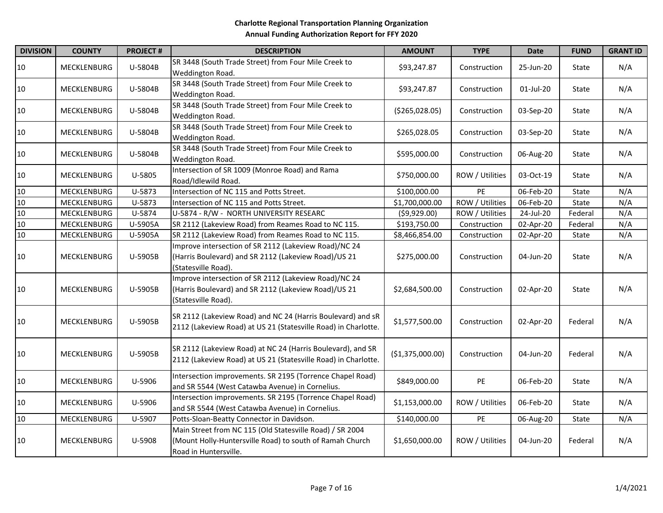| <b>DIVISION</b> | <b>COUNTY</b>      | <b>PROJECT#</b> | <b>DESCRIPTION</b>                                                                                                                            | <b>AMOUNT</b>    | <b>TYPE</b>     | <b>Date</b> | <b>FUND</b> | <b>GRANT ID</b> |
|-----------------|--------------------|-----------------|-----------------------------------------------------------------------------------------------------------------------------------------------|------------------|-----------------|-------------|-------------|-----------------|
| $10\,$          | MECKLENBURG        | U-5804B         | SR 3448 (South Trade Street) from Four Mile Creek to<br>Weddington Road.                                                                      | \$93,247.87      | Construction    | 25-Jun-20   | State       | N/A             |
| $10\,$          | <b>MECKLENBURG</b> | U-5804B         | SR 3448 (South Trade Street) from Four Mile Creek to<br>Weddington Road.                                                                      | \$93,247.87      | Construction    | 01-Jul-20   | State       | N/A             |
| $10\,$          | MECKLENBURG        | U-5804B         | SR 3448 (South Trade Street) from Four Mile Creek to<br>Weddington Road.                                                                      | ( \$265,028.05)  | Construction    | 03-Sep-20   | State       | N/A             |
| $10\,$          | MECKLENBURG        | U-5804B         | SR 3448 (South Trade Street) from Four Mile Creek to<br>Weddington Road.                                                                      | \$265,028.05     | Construction    | 03-Sep-20   | State       | N/A             |
| $10\,$          | <b>MECKLENBURG</b> | U-5804B         | SR 3448 (South Trade Street) from Four Mile Creek to<br>Weddington Road.                                                                      | \$595,000.00     | Construction    | 06-Aug-20   | State       | N/A             |
| $10\,$          | MECKLENBURG        | U-5805          | Intersection of SR 1009 (Monroe Road) and Rama<br>Road/Idlewild Road.                                                                         | \$750,000.00     | ROW / Utilities | 03-Oct-19   | State       | N/A             |
| 10              | MECKLENBURG        | U-5873          | Intersection of NC 115 and Potts Street.                                                                                                      | \$100,000.00     | PE              | 06-Feb-20   | State       | N/A             |
| $10\,$          | MECKLENBURG        | U-5873          | Intersection of NC 115 and Potts Street.                                                                                                      | \$1,700,000.00   | ROW / Utilities | 06-Feb-20   | State       | N/A             |
| 10              | <b>MECKLENBURG</b> | U-5874          | U-5874 - R/W - NORTH UNIVERSITY RESEARC                                                                                                       | (59,929.00)      | ROW / Utilities | 24-Jul-20   | Federal     | N/A             |
| $10\,$          | MECKLENBURG        | U-5905A         | SR 2112 (Lakeview Road) from Reames Road to NC 115.                                                                                           | \$193,750.00     | Construction    | 02-Apr-20   | Federal     | N/A             |
| $10\,$          | MECKLENBURG        | U-5905A         | SR 2112 (Lakeview Road) from Reames Road to NC 115.                                                                                           | \$8,466,854.00   | Construction    | 02-Apr-20   | State       | N/A             |
| $10\,$          | MECKLENBURG        | U-5905B         | Improve intersection of SR 2112 (Lakeview Road)/NC 24<br>(Harris Boulevard) and SR 2112 (Lakeview Road)/US 21<br>(Statesville Road).          | \$275,000.00     | Construction    | 04-Jun-20   | State       | N/A             |
| 10              | MECKLENBURG        | U-5905B         | Improve intersection of SR 2112 (Lakeview Road)/NC 24<br>(Harris Boulevard) and SR 2112 (Lakeview Road)/US 21<br>(Statesville Road).          | \$2,684,500.00   | Construction    | 02-Apr-20   | State       | N/A             |
| 10              | MECKLENBURG        | U-5905B         | SR 2112 (Lakeview Road) and NC 24 (Harris Boulevard) and sR<br>2112 (Lakeview Road) at US 21 (Statesville Road) in Charlotte.                 | \$1,577,500.00   | Construction    | 02-Apr-20   | Federal     | N/A             |
| $10\,$          | MECKLENBURG        | U-5905B         | SR 2112 (Lakeview Road) at NC 24 (Harris Boulevard), and SR<br>2112 (Lakeview Road) at US 21 (Statesville Road) in Charlotte.                 | (\$1,375,000.00) | Construction    | 04-Jun-20   | Federal     | N/A             |
| $10\,$          | MECKLENBURG        | U-5906          | Intersection improvements. SR 2195 (Torrence Chapel Road)<br>and SR 5544 (West Catawba Avenue) in Cornelius.                                  | \$849,000.00     | PE              | 06-Feb-20   | State       | N/A             |
| $10\,$          | MECKLENBURG        | U-5906          | Intersection improvements. SR 2195 (Torrence Chapel Road)<br>and SR 5544 (West Catawba Avenue) in Cornelius.                                  | \$1,153,000.00   | ROW / Utilities | 06-Feb-20   | State       | N/A             |
| $10\,$          | MECKLENBURG        | U-5907          | Potts-Sloan-Beatty Connector in Davidson.                                                                                                     | \$140,000.00     | PE              | 06-Aug-20   | State       | N/A             |
| $10\,$          | <b>MECKLENBURG</b> | U-5908          | Main Street from NC 115 (Old Statesville Road) / SR 2004<br>(Mount Holly-Huntersville Road) to south of Ramah Church<br>Road in Huntersville. | \$1,650,000.00   | ROW / Utilities | 04-Jun-20   | Federal     | N/A             |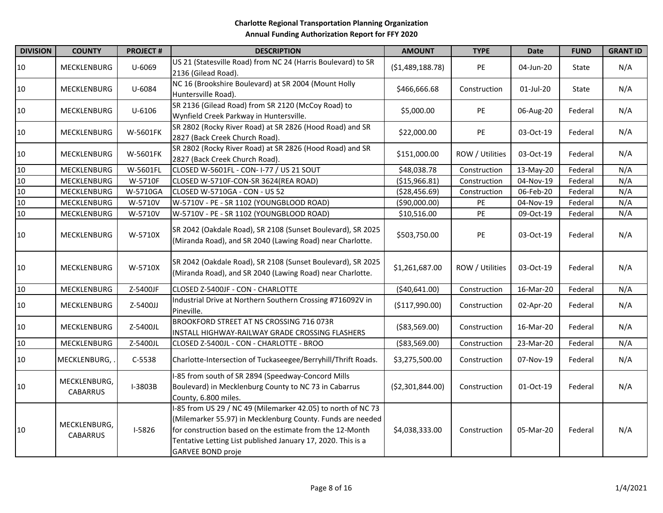| <b>DIVISION</b> | <b>COUNTY</b>                   | <b>PROJECT#</b> | <b>DESCRIPTION</b>                                                                                                                                                                                                                                                         | <b>AMOUNT</b>     | <b>TYPE</b>     | Date      | <b>FUND</b> | <b>GRANT ID</b> |
|-----------------|---------------------------------|-----------------|----------------------------------------------------------------------------------------------------------------------------------------------------------------------------------------------------------------------------------------------------------------------------|-------------------|-----------------|-----------|-------------|-----------------|
| 10              | <b>MECKLENBURG</b>              | U-6069          | US 21 (Statesville Road) from NC 24 (Harris Boulevard) to SR<br>2136 (Gilead Road).                                                                                                                                                                                        | (\$1,489,188.78)  | PE              | 04-Jun-20 | State       | N/A             |
| 10              | <b>MECKLENBURG</b>              | U-6084          | NC 16 (Brookshire Boulevard) at SR 2004 (Mount Holly<br>Huntersville Road).                                                                                                                                                                                                | \$466,666.68      | Construction    | 01-Jul-20 | State       | N/A             |
| 10              | MECKLENBURG                     | $U - 6106$      | SR 2136 (Gilead Road) from SR 2120 (McCoy Road) to<br>Wynfield Creek Parkway in Huntersville.                                                                                                                                                                              | \$5,000.00        | PE              | 06-Aug-20 | Federal     | N/A             |
| 10              | <b>MECKLENBURG</b>              | W-5601FK        | SR 2802 (Rocky River Road) at SR 2826 (Hood Road) and SR<br>2827 (Back Creek Church Road).                                                                                                                                                                                 | \$22,000.00       | PE              | 03-Oct-19 | Federal     | N/A             |
| 10              | MECKLENBURG                     | W-5601FK        | SR 2802 (Rocky River Road) at SR 2826 (Hood Road) and SR<br>2827 (Back Creek Church Road).                                                                                                                                                                                 | \$151,000.00      | ROW / Utilities | 03-Oct-19 | Federal     | N/A             |
| 10              | MECKLENBURG                     | W-5601FL        | CLOSED W-5601FL - CON- I-77 / US 21 SOUT                                                                                                                                                                                                                                   | \$48,038.78       | Construction    | 13-May-20 | Federal     | N/A             |
| 10              | MECKLENBURG                     | W-5710F         | CLOSED W-5710F-CON-SR 3624(REA ROAD)                                                                                                                                                                                                                                       | ( \$15,966.81)    | Construction    | 04-Nov-19 | Federal     | N/A             |
| $10\,$          | MECKLENBURG                     | W-5710GA        | CLOSED W-5710GA - CON - US 52                                                                                                                                                                                                                                              | ( \$28,456.69)    | Construction    | 06-Feb-20 | Federal     | N/A             |
| 10              | MECKLENBURG                     | W-5710V         | W-5710V - PE - SR 1102 (YOUNGBLOOD ROAD)                                                                                                                                                                                                                                   | ( \$90,000.00)    | PE              | 04-Nov-19 | Federal     | N/A             |
| 10              | MECKLENBURG                     | W-5710V         | W-5710V - PE - SR 1102 (YOUNGBLOOD ROAD)                                                                                                                                                                                                                                   | \$10,516.00       | PE              | 09-Oct-19 | Federal     | N/A             |
| 10              | <b>MECKLENBURG</b>              | W-5710X         | SR 2042 (Oakdale Road), SR 2108 (Sunset Boulevard), SR 2025<br>(Miranda Road), and SR 2040 (Lawing Road) near Charlotte.                                                                                                                                                   | \$503,750.00      | PE              | 03-Oct-19 | Federal     | N/A             |
| 10              | <b>MECKLENBURG</b>              | W-5710X         | SR 2042 (Oakdale Road), SR 2108 (Sunset Boulevard), SR 2025<br>(Miranda Road), and SR 2040 (Lawing Road) near Charlotte.                                                                                                                                                   | \$1,261,687.00    | ROW / Utilities | 03-Oct-19 | Federal     | N/A             |
| $10\,$          | MECKLENBURG                     | Z-5400JF        | CLOSED Z-5400JF - CON - CHARLOTTE                                                                                                                                                                                                                                          | ( \$40,641.00)    | Construction    | 16-Mar-20 | Federal     | N/A             |
| 10              | MECKLENBURG                     | Z-5400JJ        | Industrial Drive at Northern Southern Crossing #716092V in<br>Pineville.                                                                                                                                                                                                   | (\$117,990.00)    | Construction    | 02-Apr-20 | Federal     | N/A             |
| 10              | MECKLENBURG                     | Z-5400JL        | BROOKFORD STREET AT NS CROSSING 716 073R<br>INSTALL HIGHWAY-RAILWAY GRADE CROSSING FLASHERS                                                                                                                                                                                | ( \$83,569.00)    | Construction    | 16-Mar-20 | Federal     | N/A             |
| 10              | MECKLENBURG                     | Z-5400JL        | CLOSED Z-5400JL - CON - CHARLOTTE - BROO                                                                                                                                                                                                                                   | ( \$83,569.00)    | Construction    | 23-Mar-20 | Federal     | N/A             |
| 10              | MECKLENBURG,                    | C-5538          | Charlotte-Intersection of Tuckaseegee/Berryhill/Thrift Roads.                                                                                                                                                                                                              | \$3,275,500.00    | Construction    | 07-Nov-19 | Federal     | N/A             |
| 10              | MECKLENBURG,<br><b>CABARRUS</b> | I-3803B         | -85 from south of SR 2894 (Speedway-Concord Mills<br>Boulevard) in Mecklenburg County to NC 73 in Cabarrus<br>County, 6.800 miles.                                                                                                                                         | ( \$2,301,844.00) | Construction    | 01-Oct-19 | Federal     | N/A             |
| $10\,$          | MECKLENBURG,<br><b>CABARRUS</b> | $I-5826$        | -85 from US 29 / NC 49 (Milemarker 42.05) to north of NC 73<br>(Milemarker 55.97) in Mecklenburg County. Funds are needed<br>for construction based on the estimate from the 12-Month<br>Tentative Letting List published January 17, 2020. This is a<br>GARVEE BOND proje | \$4,038,333.00    | Construction    | 05-Mar-20 | Federal     | N/A             |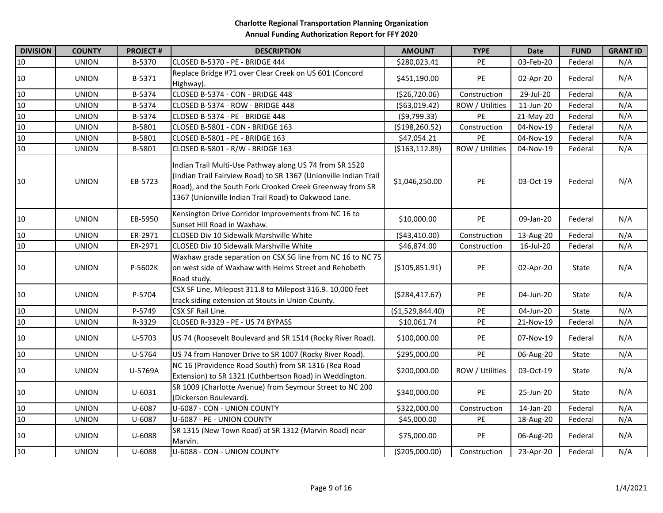| <b>DIVISION</b> | <b>COUNTY</b> | <b>PROJECT#</b> | <b>DESCRIPTION</b>                                                                                                                                                                                                                              | <b>AMOUNT</b>    | <b>TYPE</b>     | <b>Date</b> | <b>FUND</b> | <b>GRANT ID</b> |
|-----------------|---------------|-----------------|-------------------------------------------------------------------------------------------------------------------------------------------------------------------------------------------------------------------------------------------------|------------------|-----------------|-------------|-------------|-----------------|
| 10              | <b>UNION</b>  | B-5370          | CLOSED B-5370 - PE - BRIDGE 444                                                                                                                                                                                                                 | \$280,023.41     | PE              | 03-Feb-20   | Federal     | N/A             |
| 10              | <b>UNION</b>  | B-5371          | Replace Bridge #71 over Clear Creek on US 601 (Concord<br>Highway).                                                                                                                                                                             | \$451,190.00     | PE              | 02-Apr-20   | Federal     | N/A             |
| 10              | <b>UNION</b>  | B-5374          | CLOSED B-5374 - CON - BRIDGE 448                                                                                                                                                                                                                | (\$26,720.06)    | Construction    | 29-Jul-20   | Federal     | N/A             |
| 10              | <b>UNION</b>  | B-5374          | CLOSED B-5374 - ROW - BRIDGE 448                                                                                                                                                                                                                | ( \$63,019.42)   | ROW / Utilities | 11-Jun-20   | Federal     | N/A             |
| 10              | <b>UNION</b>  | B-5374          | CLOSED B-5374 - PE - BRIDGE 448                                                                                                                                                                                                                 | (59, 799.33)     | PE              | 21-May-20   | Federal     | N/A             |
| 10              | <b>UNION</b>  | B-5801          | CLOSED B-5801 - CON - BRIDGE 163                                                                                                                                                                                                                | ( \$198, 260.52) | Construction    | 04-Nov-19   | Federal     | N/A             |
| 10              | <b>UNION</b>  | B-5801          | CLOSED B-5801 - PE - BRIDGE 163                                                                                                                                                                                                                 | \$47,054.21      | PE              | 04-Nov-19   | Federal     | N/A             |
| 10              | <b>UNION</b>  | B-5801          | CLOSED B-5801 - R/W - BRIDGE 163                                                                                                                                                                                                                | (\$163,112.89)   | ROW / Utilities | 04-Nov-19   | Federal     | N/A             |
| 10              | <b>UNION</b>  | EB-5723         | Indian Trail Multi-Use Pathway along US 74 from SR 1520<br>(Indian Trail Fairview Road) to SR 1367 (Unionville Indian Trail<br>Road), and the South Fork Crooked Creek Greenway from SR<br>1367 (Unionville Indian Trail Road) to Oakwood Lane. | \$1,046,250.00   | PE              | 03-Oct-19   | Federal     | N/A             |
| 10              | <b>UNION</b>  | EB-5950         | Kensington Drive Corridor Improvements from NC 16 to<br>Sunset Hill Road in Waxhaw.                                                                                                                                                             | \$10,000.00      | PE              | 09-Jan-20   | Federal     | N/A             |
| 10              | <b>UNION</b>  | ER-2971         | CLOSED Div 10 Sidewalk Marshville White                                                                                                                                                                                                         | ( \$43,410.00)   | Construction    | 13-Aug-20   | Federal     | N/A             |
| 10              | <b>UNION</b>  | ER-2971         | CLOSED Div 10 Sidewalk Marshville White                                                                                                                                                                                                         | \$46,874.00      | Construction    | 16-Jul-20   | Federal     | N/A             |
| 10              | <b>UNION</b>  | P-5602K         | Waxhaw grade separation on CSX SG line from NC 16 to NC 75<br>on west side of Waxhaw with Helms Street and Rehobeth<br>Road study.                                                                                                              | (\$105,851.91)   | PE              | 02-Apr-20   | State       | N/A             |
| 10              | <b>UNION</b>  | P-5704          | CSX SF Line, Milepost 311.8 to Milepost 316.9. 10,000 feet<br>track siding extension at Stouts in Union County.                                                                                                                                 | ( \$284,417.67)  | PE              | 04-Jun-20   | State       | N/A             |
| 10              | <b>UNION</b>  | P-5749          | CSX SF Rail Line.                                                                                                                                                                                                                               | (\$1,529,844.40) | PE              | 04-Jun-20   | State       | N/A             |
| 10              | <b>UNION</b>  | R-3329          | CLOSED R-3329 - PE - US 74 BYPASS                                                                                                                                                                                                               | \$10,061.74      | PE              | 21-Nov-19   | Federal     | N/A             |
| 10              | <b>UNION</b>  | U-5703          | US 74 (Roosevelt Boulevard and SR 1514 (Rocky River Road).                                                                                                                                                                                      | \$100,000.00     | PE              | 07-Nov-19   | Federal     | N/A             |
| 10              | <b>UNION</b>  | U-5764          | US 74 from Hanover Drive to SR 1007 (Rocky River Road).                                                                                                                                                                                         | \$295,000.00     | PE              | 06-Aug-20   | State       | N/A             |
| 10              | <b>UNION</b>  | U-5769A         | NC 16 (Providence Road South) from SR 1316 (Rea Road<br>Extension) to SR 1321 (Cuthbertson Road) in Weddington.                                                                                                                                 | \$200,000.00     | ROW / Utilities | 03-Oct-19   | State       | N/A             |
| 10              | <b>UNION</b>  | $U - 6031$      | SR 1009 (Charlotte Avenue) from Seymour Street to NC 200<br>(Dickerson Boulevard).                                                                                                                                                              | \$340,000.00     | PE              | 25-Jun-20   | State       | N/A             |
| 10              | <b>UNION</b>  | U-6087          | U-6087 - CON - UNION COUNTY                                                                                                                                                                                                                     | \$322,000.00     | Construction    | 14-Jan-20   | Federal     | N/A             |
| 10              | <b>UNION</b>  | U-6087          | U-6087 - PE - UNION COUNTY                                                                                                                                                                                                                      | \$45,000.00      | PE              | 18-Aug-20   | Federal     | N/A             |
| 10              | <b>UNION</b>  | U-6088          | SR 1315 (New Town Road) at SR 1312 (Marvin Road) near<br>Marvin.                                                                                                                                                                                | \$75,000.00      | PE              | 06-Aug-20   | Federal     | N/A             |
| 10              | <b>UNION</b>  | U-6088          | U-6088 - CON - UNION COUNTY                                                                                                                                                                                                                     | (\$205,000.00)   | Construction    | 23-Apr-20   | Federal     | N/A             |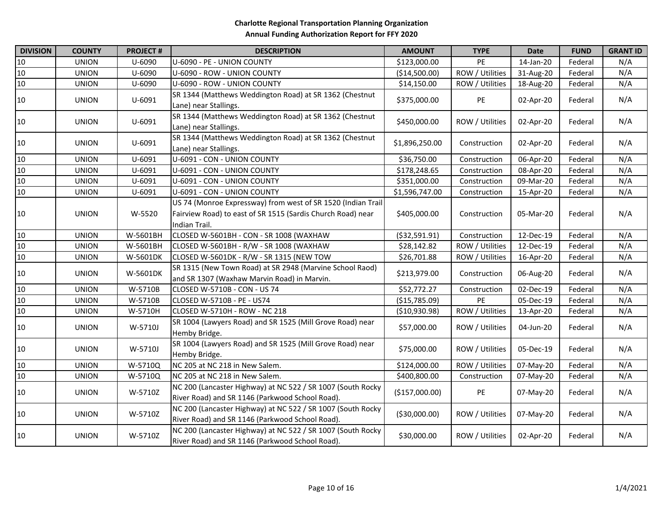| <b>DIVISION</b> | <b>COUNTY</b> | <b>PROJECT#</b> | <b>DESCRIPTION</b>                                                                                                                           | <b>AMOUNT</b>  | <b>TYPE</b>     | <b>Date</b> | <b>FUND</b> | <b>GRANT ID</b> |
|-----------------|---------------|-----------------|----------------------------------------------------------------------------------------------------------------------------------------------|----------------|-----------------|-------------|-------------|-----------------|
| $10\,$          | <b>UNION</b>  | U-6090          | U-6090 - PE - UNION COUNTY                                                                                                                   | \$123,000.00   | PE              | 14-Jan-20   | Federal     | N/A             |
| 10              | <b>UNION</b>  | U-6090          | U-6090 - ROW - UNION COUNTY                                                                                                                  | (\$14,500.00)  | ROW / Utilities | 31-Aug-20   | Federal     | N/A             |
| $10\,$          | <b>UNION</b>  | U-6090          | U-6090 - ROW - UNION COUNTY                                                                                                                  | \$14,150.00    | ROW / Utilities | 18-Aug-20   | Federal     | N/A             |
| 10              | <b>UNION</b>  | U-6091          | SR 1344 (Matthews Weddington Road) at SR 1362 (Chestnut<br>Lane) near Stallings.                                                             | \$375,000.00   | PE              | 02-Apr-20   | Federal     | N/A             |
| 10              | <b>UNION</b>  | U-6091          | SR 1344 (Matthews Weddington Road) at SR 1362 (Chestnut<br>Lane) near Stallings.                                                             | \$450,000.00   | ROW / Utilities | 02-Apr-20   | Federal     | N/A             |
| 10              | <b>UNION</b>  | U-6091          | SR 1344 (Matthews Weddington Road) at SR 1362 (Chestnut<br>Lane) near Stallings.                                                             | \$1,896,250.00 | Construction    | 02-Apr-20   | Federal     | N/A             |
| 10              | <b>UNION</b>  | U-6091          | U-6091 - CON - UNION COUNTY                                                                                                                  | \$36,750.00    | Construction    | 06-Apr-20   | Federal     | N/A             |
| $10\,$          | <b>UNION</b>  | U-6091          | U-6091 - CON - UNION COUNTY                                                                                                                  | \$178,248.65   | Construction    | 08-Apr-20   | Federal     | N/A             |
| $10\,$          | <b>UNION</b>  | U-6091          | U-6091 - CON - UNION COUNTY                                                                                                                  | \$351,000.00   | Construction    | 09-Mar-20   | Federal     | N/A             |
| 10              | <b>UNION</b>  | U-6091          | U-6091 - CON - UNION COUNTY                                                                                                                  | \$1,596,747.00 | Construction    | 15-Apr-20   | Federal     | N/A             |
| 10              | <b>UNION</b>  | W-5520          | US 74 (Monroe Expressway) from west of SR 1520 (Indian Trail<br>Fairview Road) to east of SR 1515 (Sardis Church Road) near<br>Indian Trail. | \$405,000.00   | Construction    | 05-Mar-20   | Federal     | N/A             |
| 10              | <b>UNION</b>  | W-5601BH        | CLOSED W-5601BH - CON - SR 1008 (WAXHAW                                                                                                      | ( \$32,591.91) | Construction    | 12-Dec-19   | Federal     | N/A             |
| 10              | <b>UNION</b>  | W-5601BH        | CLOSED W-5601BH - R/W - SR 1008 (WAXHAW                                                                                                      | \$28,142.82    | ROW / Utilities | 12-Dec-19   | Federal     | N/A             |
| $10\,$          | <b>UNION</b>  | W-5601DK        | CLOSED W-5601DK - R/W - SR 1315 (NEW TOW                                                                                                     | \$26,701.88    | ROW / Utilities | 16-Apr-20   | Federal     | N/A             |
| 10              | <b>UNION</b>  | W-5601DK        | SR 1315 (New Town Road) at SR 2948 (Marvine School Raod)<br>and SR 1307 (Waxhaw Marvin Road) in Marvin.                                      | \$213,979.00   | Construction    | 06-Aug-20   | Federal     | N/A             |
| 10              | <b>UNION</b>  | W-5710B         | CLOSED W-5710B - CON - US 74                                                                                                                 | \$52,772.27    | Construction    | 02-Dec-19   | Federal     | N/A             |
| 10              | <b>UNION</b>  | W-5710B         | CLOSED W-5710B - PE - US74                                                                                                                   | (\$15,785.09)  | <b>PE</b>       | 05-Dec-19   | Federal     | N/A             |
| $10\,$          | <b>UNION</b>  | W-5710H         | CLOSED W-5710H - ROW - NC 218                                                                                                                | ( \$10,930.98) | ROW / Utilities | 13-Apr-20   | Federal     | N/A             |
| 10              | <b>UNION</b>  | W-5710J         | SR 1004 (Lawyers Road) and SR 1525 (Mill Grove Road) near<br>Hemby Bridge.                                                                   | \$57,000.00    | ROW / Utilities | 04-Jun-20   | Federal     | N/A             |
| 10              | <b>UNION</b>  | W-5710J         | SR 1004 (Lawyers Road) and SR 1525 (Mill Grove Road) near<br>Hemby Bridge.                                                                   | \$75,000.00    | ROW / Utilities | 05-Dec-19   | Federal     | N/A             |
| 10              | <b>UNION</b>  | W-5710Q         | NC 205 at NC 218 in New Salem.                                                                                                               | \$124,000.00   | ROW / Utilities | 07-May-20   | Federal     | N/A             |
| 10              | <b>UNION</b>  | W-5710Q         | NC 205 at NC 218 in New Salem.                                                                                                               | \$400,800.00   | Construction    | 07-May-20   | Federal     | N/A             |
| 10              | <b>UNION</b>  | W-5710Z         | NC 200 (Lancaster Highway) at NC 522 / SR 1007 (South Rocky<br>River Road) and SR 1146 (Parkwood School Road).                               | (\$157,000.00) | PE              | 07-May-20   | Federal     | N/A             |
| 10              | <b>UNION</b>  | W-5710Z         | NC 200 (Lancaster Highway) at NC 522 / SR 1007 (South Rocky<br>River Road) and SR 1146 (Parkwood School Road).                               | ( \$30,000.00) | ROW / Utilities | 07-May-20   | Federal     | N/A             |
| 10              | <b>UNION</b>  | W-5710Z         | NC 200 (Lancaster Highway) at NC 522 / SR 1007 (South Rocky<br>River Road) and SR 1146 (Parkwood School Road).                               | \$30,000.00    | ROW / Utilities | 02-Apr-20   | Federal     | N/A             |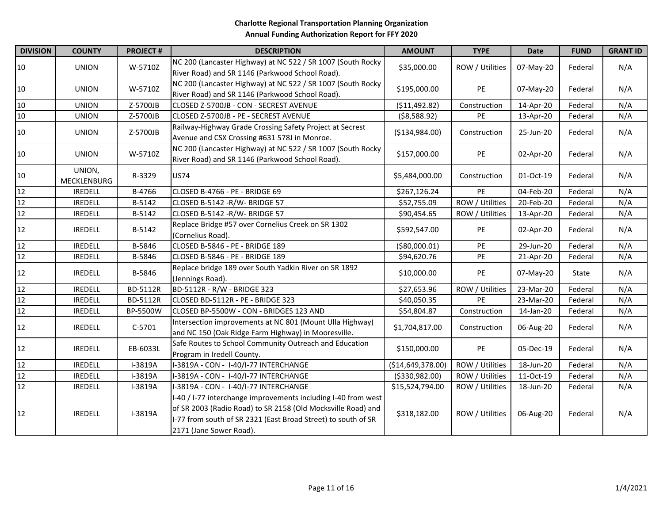| <b>DIVISION</b> | <b>COUNTY</b>         | <b>PROJECT#</b> | <b>DESCRIPTION</b>                                                                                                                                                                                                        | <b>AMOUNT</b>     | <b>TYPE</b>     | <b>Date</b> | <b>FUND</b> | <b>GRANT ID</b> |
|-----------------|-----------------------|-----------------|---------------------------------------------------------------------------------------------------------------------------------------------------------------------------------------------------------------------------|-------------------|-----------------|-------------|-------------|-----------------|
| 10              | <b>UNION</b>          | W-5710Z         | NC 200 (Lancaster Highway) at NC 522 / SR 1007 (South Rocky<br>River Road) and SR 1146 (Parkwood School Road).                                                                                                            | \$35,000.00       | ROW / Utilities | 07-May-20   | Federal     | N/A             |
| 10              | <b>UNION</b>          | W-5710Z         | NC 200 (Lancaster Highway) at NC 522 / SR 1007 (South Rocky<br>River Road) and SR 1146 (Parkwood School Road).                                                                                                            | \$195,000.00      | <b>PE</b>       | 07-May-20   | Federal     | N/A             |
| $10\,$          | <b>UNION</b>          | Z-5700JB        | CLOSED Z-5700JB - CON - SECREST AVENUE                                                                                                                                                                                    | (\$11,492.82)     | Construction    | 14-Apr-20   | Federal     | N/A             |
| 10              | <b>UNION</b>          | Z-5700JB        | CLOSED Z-5700JB - PE - SECREST AVENUE                                                                                                                                                                                     | ( \$8,588.92)     | PE              | 13-Apr-20   | Federal     | N/A             |
| 10              | <b>UNION</b>          | Z-5700JB        | Railway-Highway Grade Crossing Safety Project at Secrest<br>Avenue and CSX Crossing #631 578J in Monroe.                                                                                                                  | (\$134,984.00)    | Construction    | 25-Jun-20   | Federal     | N/A             |
| 10              | <b>UNION</b>          | W-5710Z         | NC 200 (Lancaster Highway) at NC 522 / SR 1007 (South Rocky<br>River Road) and SR 1146 (Parkwood School Road).                                                                                                            | \$157,000.00      | PE              | 02-Apr-20   | Federal     | N/A             |
| 10              | UNION,<br>MECKLENBURG | R-3329          | <b>US74</b>                                                                                                                                                                                                               | \$5,484,000.00    | Construction    | 01-Oct-19   | Federal     | N/A             |
| 12              | <b>IREDELL</b>        | B-4766          | CLOSED B-4766 - PE - BRIDGE 69                                                                                                                                                                                            | \$267,126.24      | PE              | 04-Feb-20   | Federal     | N/A             |
| 12              | <b>IREDELL</b>        | B-5142          | CLOSED B-5142 - R/W- BRIDGE 57                                                                                                                                                                                            | \$52,755.09       | ROW / Utilities | 20-Feb-20   | Federal     | N/A             |
| 12              | <b>IREDELL</b>        | B-5142          | CLOSED B-5142 - R/W- BRIDGE 57                                                                                                                                                                                            | \$90,454.65       | ROW / Utilities | 13-Apr-20   | Federal     | N/A             |
| 12              | <b>IREDELL</b>        | B-5142          | Replace Bridge #57 over Cornelius Creek on SR 1302<br>(Cornelius Road).                                                                                                                                                   | \$592,547.00      | PE              | 02-Apr-20   | Federal     | N/A             |
| 12              | <b>IREDELL</b>        | B-5846          | CLOSED B-5846 - PE - BRIDGE 189                                                                                                                                                                                           | (\$80,000.01)     | PE              | 29-Jun-20   | Federal     | N/A             |
| 12              | <b>IREDELL</b>        | B-5846          | CLOSED B-5846 - PE - BRIDGE 189                                                                                                                                                                                           | \$94,620.76       | PE              | 21-Apr-20   | Federal     | N/A             |
| 12              | <b>IREDELL</b>        | B-5846          | Replace bridge 189 over South Yadkin River on SR 1892<br>(Jennings Road).                                                                                                                                                 | \$10,000.00       | PE              | 07-May-20   | State       | N/A             |
| 12              | <b>IREDELL</b>        | <b>BD-5112R</b> | BD-5112R - R/W - BRIDGE 323                                                                                                                                                                                               | \$27,653.96       | ROW / Utilities | 23-Mar-20   | Federal     | N/A             |
| 12              | <b>IREDELL</b>        | BD-5112R        | CLOSED BD-5112R - PE - BRIDGE 323                                                                                                                                                                                         | \$40,050.35       | PE              | 23-Mar-20   | Federal     | N/A             |
| 12              | <b>IREDELL</b>        | BP-5500W        | CLOSED BP-5500W - CON - BRIDGES 123 AND                                                                                                                                                                                   | \$54,804.87       | Construction    | 14-Jan-20   | Federal     | N/A             |
| 12              | <b>IREDELL</b>        | $C-5701$        | Intersection improvements at NC 801 (Mount Ulla Highway)<br>and NC 150 (Oak Ridge Farm Highway) in Mooresville.                                                                                                           | \$1,704,817.00    | Construction    | 06-Aug-20   | Federal     | N/A             |
| 12              | <b>IREDELL</b>        | EB-6033L        | Safe Routes to School Community Outreach and Education<br>Program in Iredell County.                                                                                                                                      | \$150,000.00      | PE              | 05-Dec-19   | Federal     | N/A             |
| 12              | <b>IREDELL</b>        | I-3819A         | I-3819A - CON - I-40/I-77 INTERCHANGE                                                                                                                                                                                     | (\$14,649,378.00) | ROW / Utilities | 18-Jun-20   | Federal     | N/A             |
| 12              | <b>IREDELL</b>        | I-3819A         | I-3819A - CON - I-40/I-77 INTERCHANGE                                                                                                                                                                                     | ( \$330, 982.00)  | ROW / Utilities | 11-Oct-19   | Federal     | N/A             |
| 12              | <b>IREDELL</b>        | I-3819A         | I-3819A - CON - I-40/I-77 INTERCHANGE                                                                                                                                                                                     | \$15,524,794.00   | ROW / Utilities | 18-Jun-20   | Federal     | N/A             |
| 12              | <b>IREDELL</b>        | I-3819A         | I-40 / I-77 interchange improvements including I-40 from west<br>of SR 2003 (Radio Road) to SR 2158 (Old Mocksville Road) and<br>I-77 from south of SR 2321 (East Broad Street) to south of SR<br>2171 (Jane Sower Road). | \$318,182.00      | ROW / Utilities | 06-Aug-20   | Federal     | N/A             |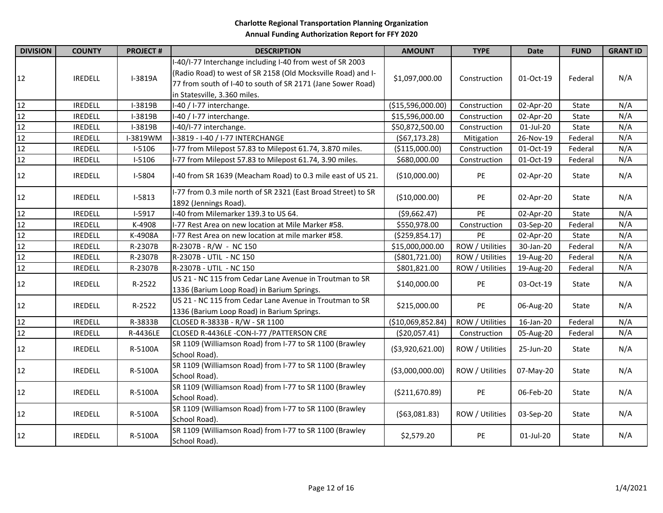| <b>DIVISION</b>                                   | <b>COUNTY</b>  | <b>PROJECT#</b> | <b>DESCRIPTION</b>                                                                                                                                                                                                       | <b>AMOUNT</b>     | <b>TYPE</b>     | <b>Date</b> | <b>FUND</b> | <b>GRANT ID</b> |
|---------------------------------------------------|----------------|-----------------|--------------------------------------------------------------------------------------------------------------------------------------------------------------------------------------------------------------------------|-------------------|-----------------|-------------|-------------|-----------------|
| 12                                                | <b>IREDELL</b> | I-3819A         | I-40/I-77 Interchange including I-40 from west of SR 2003<br>(Radio Road) to west of SR 2158 (Old Mocksville Road) and I-<br>77 from south of I-40 to south of SR 2171 (Jane Sower Road)<br>in Statesville, 3.360 miles. | \$1,097,000.00    | Construction    | 01-Oct-19   | Federal     | N/A             |
| 12                                                | <b>IREDELL</b> | I-3819B         | I-40 / I-77 interchange.                                                                                                                                                                                                 | (\$15,596,000.00) | Construction    | 02-Apr-20   | State       | N/A             |
| $\begin{array}{c}\n 12 \\ 12 \\ 12\n \end{array}$ | <b>IREDELL</b> | I-3819B         | I-40 / I-77 interchange.                                                                                                                                                                                                 | \$15,596,000.00   | Construction    | 02-Apr-20   | State       | N/A             |
|                                                   | <b>IREDELL</b> | I-3819B         | I-40/I-77 interchange.                                                                                                                                                                                                   | \$50,872,500.00   | Construction    | 01-Jul-20   | State       | N/A             |
|                                                   | <b>IREDELL</b> | I-3819WM        | I-3819 - I-40 / I-77 INTERCHANGE                                                                                                                                                                                         | (567, 173.28)     | Mitigation      | 26-Nov-19   | Federal     | N/A             |
| 12                                                | <b>IREDELL</b> | $I-5106$        | I-77 from Milepost 57.83 to Milepost 61.74, 3.870 miles.                                                                                                                                                                 | (\$115,000.00)    | Construction    | 01-Oct-19   | Federal     | N/A             |
| 12                                                | <b>IREDELL</b> | $I-5106$        | I-77 from Milepost 57.83 to Milepost 61.74, 3.90 miles.                                                                                                                                                                  | \$680,000.00      | Construction    | 01-Oct-19   | Federal     | N/A             |
| 12                                                | <b>IREDELL</b> | I-5804          | I-40 from SR 1639 (Meacham Road) to 0.3 mile east of US 21.                                                                                                                                                              | (\$10,000.00)     | PE              | 02-Apr-20   | State       | N/A             |
| 12                                                | <b>IREDELL</b> | $I-5813$        | I-77 from 0.3 mile north of SR 2321 (East Broad Street) to SR<br>1892 (Jennings Road).                                                                                                                                   | (\$10,000.00)     | PE              | 02-Apr-20   | State       | N/A             |
| 12                                                | <b>IREDELL</b> | I-5917          | I-40 from Milemarker 139.3 to US 64.                                                                                                                                                                                     | ( \$9,662.47)     | PE              | 02-Apr-20   | State       | N/A             |
| 12                                                | <b>IREDELL</b> | K-4908          | I-77 Rest Area on new location at Mile Marker #58.                                                                                                                                                                       | \$550,978.00      | Construction    | 03-Sep-20   | Federal     | N/A             |
| 12                                                | <b>IREDELL</b> | K-4908A         | I-77 Rest Area on new location at mile marker #58.                                                                                                                                                                       | ( \$259, 854.17)  | PE              | 02-Apr-20   | State       | N/A             |
| 12                                                | <b>IREDELL</b> | R-2307B         | R-2307B - R/W - NC 150                                                                                                                                                                                                   | \$15,000,000.00   | ROW / Utilities | 30-Jan-20   | Federal     | N/A             |
| 12                                                | <b>IREDELL</b> | R-2307B         | R-2307B - UTIL - NC 150                                                                                                                                                                                                  | ( \$801, 721.00)  | ROW / Utilities | 19-Aug-20   | Federal     | N/A             |
| 12                                                | <b>IREDELL</b> | R-2307B         | R-2307B - UTIL - NC 150                                                                                                                                                                                                  | \$801,821.00      | ROW / Utilities | 19-Aug-20   | Federal     | N/A             |
| 12                                                | <b>IREDELL</b> | R-2522          | US 21 - NC 115 from Cedar Lane Avenue in Troutman to SR<br>1336 (Barium Loop Road) in Barium Springs.                                                                                                                    | \$140,000.00      | PE              | 03-Oct-19   | State       | N/A             |
| 12                                                | <b>IREDELL</b> | R-2522          | US 21 - NC 115 from Cedar Lane Avenue in Troutman to SR<br>1336 (Barium Loop Road) in Barium Springs.                                                                                                                    | \$215,000.00      | PE              | 06-Aug-20   | State       | N/A             |
| 12                                                | <b>IREDELL</b> | R-3833B         | CLOSED R-3833B - R/W - SR 1100                                                                                                                                                                                           | (\$10,069,852.84) | ROW / Utilities | 16-Jan-20   | Federal     | N/A             |
| 12                                                | <b>IREDELL</b> | R-4436LE        | CLOSED R-4436LE -CON-I-77 / PATTERSON CRE                                                                                                                                                                                | ( \$20,057.41)    | Construction    | 05-Aug-20   | Federal     | N/A             |
| 12                                                | <b>IREDELL</b> | R-5100A         | SR 1109 (Williamson Road) from I-77 to SR 1100 (Brawley<br>School Road).                                                                                                                                                 | ( \$3,920,621.00) | ROW / Utilities | 25-Jun-20   | State       | N/A             |
| 12                                                | <b>IREDELL</b> | R-5100A         | SR 1109 (Williamson Road) from I-77 to SR 1100 (Brawley<br>School Road).                                                                                                                                                 | ( \$3,000,000.00) | ROW / Utilities | 07-May-20   | State       | N/A             |
| 12                                                | <b>IREDELL</b> | R-5100A         | SR 1109 (Williamson Road) from I-77 to SR 1100 (Brawley<br>School Road).                                                                                                                                                 | ( \$211,670.89)   | PE              | 06-Feb-20   | State       | N/A             |
| 12                                                | <b>IREDELL</b> | R-5100A         | SR 1109 (Williamson Road) from I-77 to SR 1100 (Brawley<br>School Road).                                                                                                                                                 | (563,081.83)      | ROW / Utilities | 03-Sep-20   | State       | N/A             |
| 12                                                | <b>IREDELL</b> | R-5100A         | SR 1109 (Williamson Road) from I-77 to SR 1100 (Brawley<br>School Road).                                                                                                                                                 | \$2,579.20        | PE              | 01-Jul-20   | State       | N/A             |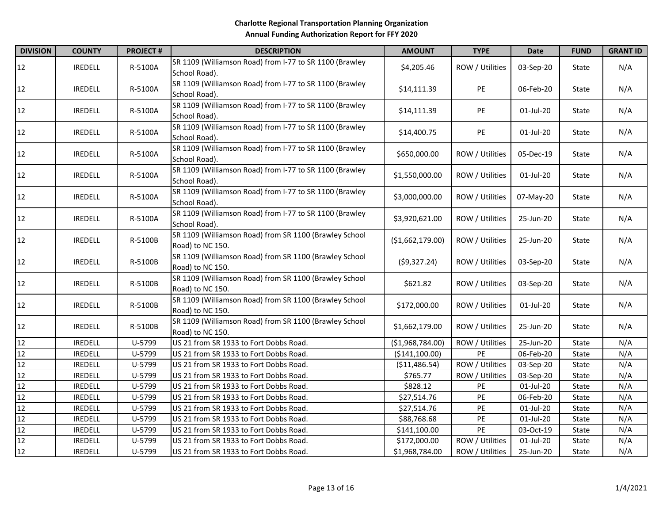| <b>DIVISION</b> | <b>COUNTY</b>  | <b>PROJECT#</b> | <b>DESCRIPTION</b>                                                         | <b>AMOUNT</b>    | <b>TYPE</b>     | <b>Date</b> | <b>FUND</b> | <b>GRANT ID</b> |
|-----------------|----------------|-----------------|----------------------------------------------------------------------------|------------------|-----------------|-------------|-------------|-----------------|
| 12              | <b>IREDELL</b> | R-5100A         | SR 1109 (Williamson Road) from I-77 to SR 1100 (Brawley<br>School Road).   | \$4,205.46       | ROW / Utilities | 03-Sep-20   | State       | N/A             |
| 12              | <b>IREDELL</b> | R-5100A         | SR 1109 (Williamson Road) from I-77 to SR 1100 (Brawley<br>School Road).   | \$14,111.39      | PE              | 06-Feb-20   | State       | N/A             |
| 12              | <b>IREDELL</b> | R-5100A         | SR 1109 (Williamson Road) from I-77 to SR 1100 (Brawley<br>School Road).   | \$14,111.39      | PE              | 01-Jul-20   | State       | N/A             |
| 12              | <b>IREDELL</b> | R-5100A         | SR 1109 (Williamson Road) from I-77 to SR 1100 (Brawley<br>School Road).   | \$14,400.75      | PE              | 01-Jul-20   | State       | N/A             |
| 12              | <b>IREDELL</b> | R-5100A         | SR 1109 (Williamson Road) from I-77 to SR 1100 (Brawley<br>School Road).   | \$650,000.00     | ROW / Utilities | 05-Dec-19   | State       | N/A             |
| 12              | <b>IREDELL</b> | R-5100A         | SR 1109 (Williamson Road) from I-77 to SR 1100 (Brawley<br>School Road).   | \$1,550,000.00   | ROW / Utilities | 01-Jul-20   | State       | N/A             |
| 12              | <b>IREDELL</b> | R-5100A         | SR 1109 (Williamson Road) from I-77 to SR 1100 (Brawley<br>School Road).   | \$3,000,000.00   | ROW / Utilities | 07-May-20   | State       | N/A             |
| 12              | <b>IREDELL</b> | R-5100A         | SR 1109 (Williamson Road) from I-77 to SR 1100 (Brawley<br>School Road).   | \$3,920,621.00   | ROW / Utilities | 25-Jun-20   | State       | N/A             |
| 12              | <b>IREDELL</b> | R-5100B         | SR 1109 (Williamson Road) from SR 1100 (Brawley School<br>Road) to NC 150. | (\$1,662,179.00) | ROW / Utilities | 25-Jun-20   | State       | N/A             |
| 12              | <b>IREDELL</b> | R-5100B         | SR 1109 (Williamson Road) from SR 1100 (Brawley School<br>Road) to NC 150. | (59,327.24)      | ROW / Utilities | 03-Sep-20   | State       | N/A             |
| 12              | <b>IREDELL</b> | R-5100B         | SR 1109 (Williamson Road) from SR 1100 (Brawley School<br>Road) to NC 150. | \$621.82         | ROW / Utilities | 03-Sep-20   | State       | N/A             |
| 12              | <b>IREDELL</b> | R-5100B         | SR 1109 (Williamson Road) from SR 1100 (Brawley School<br>Road) to NC 150. | \$172,000.00     | ROW / Utilities | 01-Jul-20   | State       | N/A             |
| 12              | <b>IREDELL</b> | R-5100B         | SR 1109 (Williamson Road) from SR 1100 (Brawley School<br>Road) to NC 150. | \$1,662,179.00   | ROW / Utilities | 25-Jun-20   | State       | N/A             |
| 12              | <b>IREDELL</b> | U-5799          | US 21 from SR 1933 to Fort Dobbs Road.                                     | (\$1,968,784.00) | ROW / Utilities | 25-Jun-20   | State       | N/A             |
| 12              | <b>IREDELL</b> | U-5799          | US 21 from SR 1933 to Fort Dobbs Road.                                     | ( \$141, 100.00) | PE              | 06-Feb-20   | State       | N/A             |
| 12              | <b>IREDELL</b> | U-5799          | US 21 from SR 1933 to Fort Dobbs Road.                                     | (\$11,486.54)    | ROW / Utilities | 03-Sep-20   | State       | N/A             |
| 12              | <b>IREDELL</b> | U-5799          | US 21 from SR 1933 to Fort Dobbs Road.                                     | \$765.77         | ROW / Utilities | 03-Sep-20   | State       | N/A             |
| 12              | <b>IREDELL</b> | U-5799          | US 21 from SR 1933 to Fort Dobbs Road.                                     | \$828.12         | PE              | 01-Jul-20   | State       | N/A             |
| 12              | <b>IREDELL</b> | U-5799          | US 21 from SR 1933 to Fort Dobbs Road.                                     | \$27,514.76      | PE              | 06-Feb-20   | State       | N/A             |
| 12              | <b>IREDELL</b> | U-5799          | US 21 from SR 1933 to Fort Dobbs Road.                                     | \$27,514.76      | PE              | 01-Jul-20   | State       | N/A             |
| 12              | <b>IREDELL</b> | U-5799          | US 21 from SR 1933 to Fort Dobbs Road.                                     | \$88,768.68      | PE              | 01-Jul-20   | State       | N/A             |
| 12              | <b>IREDELL</b> | U-5799          | US 21 from SR 1933 to Fort Dobbs Road.                                     | \$141,100.00     | PE              | 03-Oct-19   | State       | N/A             |
| 12              | <b>IREDELL</b> | U-5799          | US 21 from SR 1933 to Fort Dobbs Road.                                     | \$172,000.00     | ROW / Utilities | 01-Jul-20   | State       | N/A             |
| 12              | <b>IREDELL</b> | U-5799          | US 21 from SR 1933 to Fort Dobbs Road.                                     | \$1,968,784.00   | ROW / Utilities | 25-Jun-20   | State       | N/A             |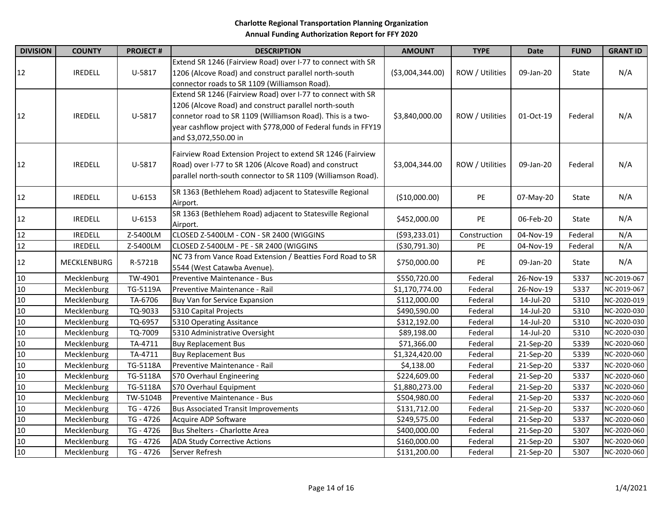| <b>DIVISION</b>                                                                    | <b>COUNTY</b>  | <b>PROJECT#</b> | <b>DESCRIPTION</b>                                                                                                                                                                                                                                                            | <b>AMOUNT</b>                                     | <b>TYPE</b>  |           | <b>FUND</b> | <b>GRANT ID</b> |
|------------------------------------------------------------------------------------|----------------|-----------------|-------------------------------------------------------------------------------------------------------------------------------------------------------------------------------------------------------------------------------------------------------------------------------|---------------------------------------------------|--------------|-----------|-------------|-----------------|
| 12                                                                                 | <b>IREDELL</b> | U-5817          | Extend SR 1246 (Fairview Road) over I-77 to connect with SR<br>1206 (Alcove Road) and construct parallel north-south<br>connector roads to SR 1109 (Williamson Road).                                                                                                         | ( \$3,004,344.00)<br>ROW / Utilities<br>09-Jan-20 |              | State     | N/A         |                 |
| 12                                                                                 | <b>IREDELL</b> | U-5817          | Extend SR 1246 (Fairview Road) over I-77 to connect with SR<br>1206 (Alcove Road) and construct parallel north-south<br>connetor road to SR 1109 (Williamson Road). This is a two-<br>year cashflow project with \$778,000 of Federal funds in FFY19<br>and \$3,072,550.00 in | \$3,840,000.00<br>ROW / Utilities<br>01-Oct-19    |              | Federal   | N/A         |                 |
| 12                                                                                 | <b>IREDELL</b> | U-5817          | Fairview Road Extension Project to extend SR 1246 (Fairview<br>Road) over I-77 to SR 1206 (Alcove Road) and construct<br>parallel north-south connector to SR 1109 (Williamson Road).                                                                                         | ROW / Utilities<br>\$3,004,344.00                 |              | 09-Jan-20 | Federal     | N/A             |
| 12                                                                                 | <b>IREDELL</b> | $U - 6153$      | SR 1363 (Bethlehem Road) adjacent to Statesville Regional<br>Airport.                                                                                                                                                                                                         | (\$10,000.00)                                     | PE           | 07-May-20 | State       | N/A             |
| 12                                                                                 | <b>IREDELL</b> | $U - 6153$      | SR 1363 (Bethlehem Road) adjacent to Statesville Regional<br>Airport.                                                                                                                                                                                                         | \$452,000.00                                      | PE           | 06-Feb-20 | State       | N/A             |
| 12                                                                                 | <b>IREDELL</b> | Z-5400LM        | CLOSED Z-5400LM - CON - SR 2400 (WIGGINS                                                                                                                                                                                                                                      | ( \$93, 233.01)                                   | Construction | 04-Nov-19 | Federal     | N/A             |
| 12                                                                                 | <b>IREDELL</b> | Z-5400LM        | CLOSED Z-5400LM - PE - SR 2400 (WIGGINS                                                                                                                                                                                                                                       | ( \$30,791.30)                                    | PE           | 04-Nov-19 | Federal     | N/A             |
| 12                                                                                 | MECKLENBURG    | R-5721B         | NC 73 from Vance Road Extension / Beatties Ford Road to SR<br>5544 (West Catawba Avenue).                                                                                                                                                                                     | \$750,000.00                                      | PE           | 09-Jan-20 | State       | N/A             |
| 10                                                                                 | Mecklenburg    | TW-4901         | Preventive Maintenance - Bus                                                                                                                                                                                                                                                  | \$550,720.00                                      | Federal      | 26-Nov-19 | 5337        | NC-2019-067     |
| 10                                                                                 | Mecklenburg    | TG-5119A        | Preventive Maintenance - Rail                                                                                                                                                                                                                                                 | \$1,170,774.00                                    | Federal      | 26-Nov-19 | 5337        | NC-2019-067     |
| $10\,$                                                                             | Mecklenburg    | TA-6706         | Buy Van for Service Expansion                                                                                                                                                                                                                                                 | \$112,000.00                                      | Federal      | 14-Jul-20 | 5310        | NC-2020-019     |
| 10                                                                                 | Mecklenburg    | TQ-9033         | 5310 Capital Projects                                                                                                                                                                                                                                                         | \$490,590.00                                      | Federal      | 14-Jul-20 | 5310        | NC-2020-030     |
|                                                                                    | Mecklenburg    | TQ-6957         | 5310 Operating Assitance                                                                                                                                                                                                                                                      | \$312,192.00                                      | Federal      | 14-Jul-20 | 5310        | NC-2020-030     |
| $\begin{array}{r} 10 \\ \hline 10 \\ \hline 10 \\ \hline 10 \\ \hline \end{array}$ | Mecklenburg    | TQ-7009         | 5310 Administrative Oversight                                                                                                                                                                                                                                                 | \$89,198.00                                       | Federal      | 14-Jul-20 | 5310        | NC-2020-030     |
|                                                                                    | Mecklenburg    | TA-4711         | <b>Buy Replacement Bus</b>                                                                                                                                                                                                                                                    | \$71,366.00                                       | Federal      | 21-Sep-20 | 5339        | NC-2020-060     |
|                                                                                    | Mecklenburg    | TA-4711         | <b>Buy Replacement Bus</b>                                                                                                                                                                                                                                                    | \$1,324,420.00                                    | Federal      | 21-Sep-20 | 5339        | NC-2020-060     |
|                                                                                    | Mecklenburg    | TG-5118A        | Preventive Maintenance - Rail                                                                                                                                                                                                                                                 | \$4,138.00                                        | Federal      | 21-Sep-20 | 5337        | NC-2020-060     |
| 10                                                                                 | Mecklenburg    | TG-5118A        | <b>S70 Overhaul Engineering</b>                                                                                                                                                                                                                                               | \$224,609.00                                      | Federal      | 21-Sep-20 | 5337        | NC-2020-060     |
| 10                                                                                 | Mecklenburg    | TG-5118A        | S70 Overhaul Equipment                                                                                                                                                                                                                                                        | \$1,880,273.00                                    | Federal      | 21-Sep-20 | 5337        | NC-2020-060     |
| 10                                                                                 | Mecklenburg    | TW-5104B        | Preventive Maintenance - Bus                                                                                                                                                                                                                                                  | \$504,980.00                                      | Federal      | 21-Sep-20 | 5337        | NC-2020-060     |
| 10                                                                                 | Mecklenburg    | TG - 4726       | <b>Bus Associated Transit Improvements</b>                                                                                                                                                                                                                                    | \$131,712.00                                      | Federal      | 21-Sep-20 | 5337        | NC-2020-060     |
| 10                                                                                 | Mecklenburg    | TG - 4726       | Acquire ADP Software                                                                                                                                                                                                                                                          | \$249,575.00                                      | Federal      | 21-Sep-20 | 5337        | NC-2020-060     |
| 10                                                                                 | Mecklenburg    | TG - 4726       | <b>Bus Shelters - Charlotte Area</b>                                                                                                                                                                                                                                          | \$400,000.00                                      | Federal      | 21-Sep-20 | 5307        | NC-2020-060     |
| 10                                                                                 | Mecklenburg    | TG - 4726       | ADA Study Corrective Actions                                                                                                                                                                                                                                                  | \$160,000.00                                      | Federal      | 21-Sep-20 | 5307        | NC-2020-060     |
| 10                                                                                 | Mecklenburg    | TG - 4726       | Server Refresh                                                                                                                                                                                                                                                                | \$131,200.00                                      | Federal      | 21-Sep-20 | 5307        | NC-2020-060     |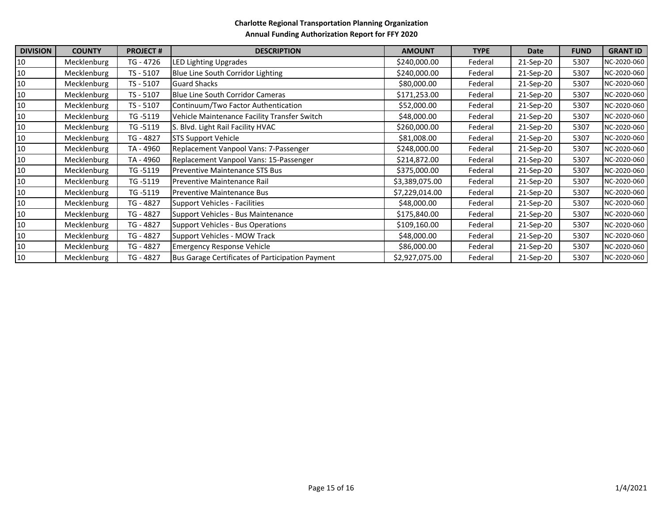| <b>DIVISION</b> | <b>COUNTY</b> | <b>PROJECT#</b> | <b>DESCRIPTION</b>                               | <b>AMOUNT</b>  | <b>TYPE</b> | <b>Date</b> | <b>FUND</b> | <b>GRANT ID</b> |
|-----------------|---------------|-----------------|--------------------------------------------------|----------------|-------------|-------------|-------------|-----------------|
| 10              | Mecklenburg   | TG - 4726       | <b>LED Lighting Upgrades</b>                     | \$240,000.00   | Federal     | 21-Sep-20   | 5307        | NC-2020-060     |
| 10              | Mecklenburg   | TS - 5107       | Blue Line South Corridor Lighting                | \$240,000.00   | Federal     | 21-Sep-20   | 5307        | NC-2020-060     |
| 10              | Mecklenburg   | TS - 5107       | <b>Guard Shacks</b>                              | \$80,000.00    | Federal     | 21-Sep-20   | 5307        | NC-2020-060     |
| 10              | Mecklenburg   | TS - 5107       | <b>Blue Line South Corridor Cameras</b>          | \$171,253.00   | Federal     | 21-Sep-20   | 5307        | NC-2020-060     |
| 10              | Mecklenburg   | TS - 5107       | Continuum/Two Factor Authentication              | \$52,000.00    | Federal     | 21-Sep-20   | 5307        | NC-2020-060     |
| 10              | Mecklenburg   | TG -5119        | Vehicle Maintenance Facility Transfer Switch     | \$48,000.00    | Federal     | 21-Sep-20   | 5307        | NC-2020-060     |
| 10              | Mecklenburg   | TG -5119        | S. Blvd. Light Rail Facility HVAC                | \$260,000.00   | Federal     | 21-Sep-20   | 5307        | NC-2020-060     |
| 10              | Mecklenburg   | TG - 4827       | <b>STS Support Vehicle</b>                       | \$81,008.00    | Federal     | 21-Sep-20   | 5307        | NC-2020-060     |
| 10              | Mecklenburg   | TA - 4960       | Replacement Vanpool Vans: 7-Passenger            | \$248,000.00   | Federal     | 21-Sep-20   | 5307        | NC-2020-060     |
| 10              | Mecklenburg   | TA - 4960       | Replacement Vanpool Vans: 15-Passenger           | \$214,872.00   | Federal     | 21-Sep-20   | 5307        | NC-2020-060     |
| 10              | Mecklenburg   | TG -5119        | Preventive Maintenance STS Bus                   | \$375,000.00   | Federal     | 21-Sep-20   | 5307        | NC-2020-060     |
| 10              | Mecklenburg   | TG -5119        | Preventive Maintenance Rail                      | \$3,389,075.00 | Federal     | 21-Sep-20   | 5307        | NC-2020-060     |
| 10              | Mecklenburg   | TG -5119        | <b>Preventive Maintenance Bus</b>                | \$7,229,014.00 | Federal     | 21-Sep-20   | 5307        | NC-2020-060     |
| 10              | Mecklenburg   | TG - 4827       | <b>Support Vehicles - Facilities</b>             | \$48,000.00    | Federal     | 21-Sep-20   | 5307        | NC-2020-060     |
| 10              | Mecklenburg   | TG - 4827       | Support Vehicles - Bus Maintenance               | \$175,840.00   | Federal     | 21-Sep-20   | 5307        | NC-2020-060     |
| 10              | Mecklenburg   | TG - 4827       | <b>Support Vehicles - Bus Operations</b>         | \$109,160.00   | Federal     | 21-Sep-20   | 5307        | NC-2020-060     |
| 10              | Mecklenburg   | TG - 4827       | Support Vehicles - MOW Track                     | \$48,000.00    | Federal     | 21-Sep-20   | 5307        | NC-2020-060     |
| 10              | Mecklenburg   | TG - 4827       | <b>Emergency Response Vehicle</b>                | \$86,000.00    | Federal     | 21-Sep-20   | 5307        | NC-2020-060     |
| $10\,$          | Mecklenburg   | TG - 4827       | Bus Garage Certificates of Participation Payment | \$2,927,075.00 | Federal     | 21-Sep-20   | 5307        | NC-2020-060     |